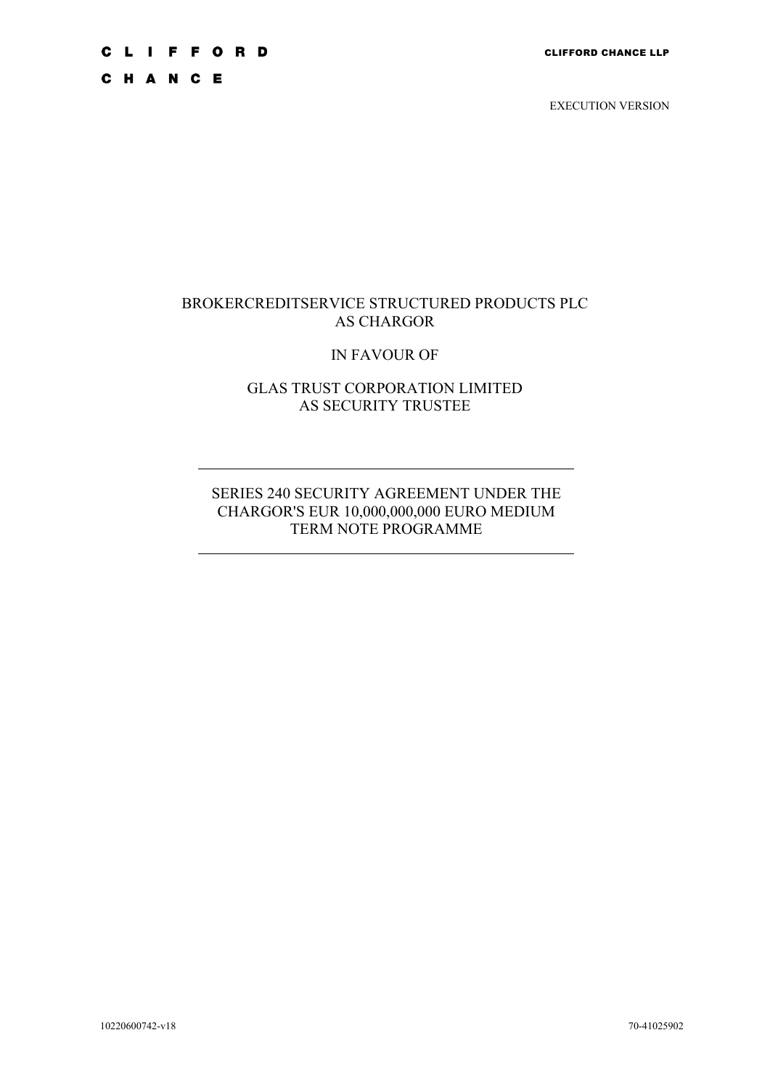## **CLIFFORD**

C H A N C E

EXECUTION VERSION

## BROKERCREDITSERVICE STRUCTURED PRODUCTS PLC AS CHARGOR

## IN FAVOUR OF

## GLAS TRUST CORPORATION LIMITED AS SECURITY TRUSTEE

## SERIES 240 SECURITY AGREEMENT UNDER THE CHARGOR'S EUR 10,000,000,000 EURO MEDIUM TERM NOTE PROGRAMME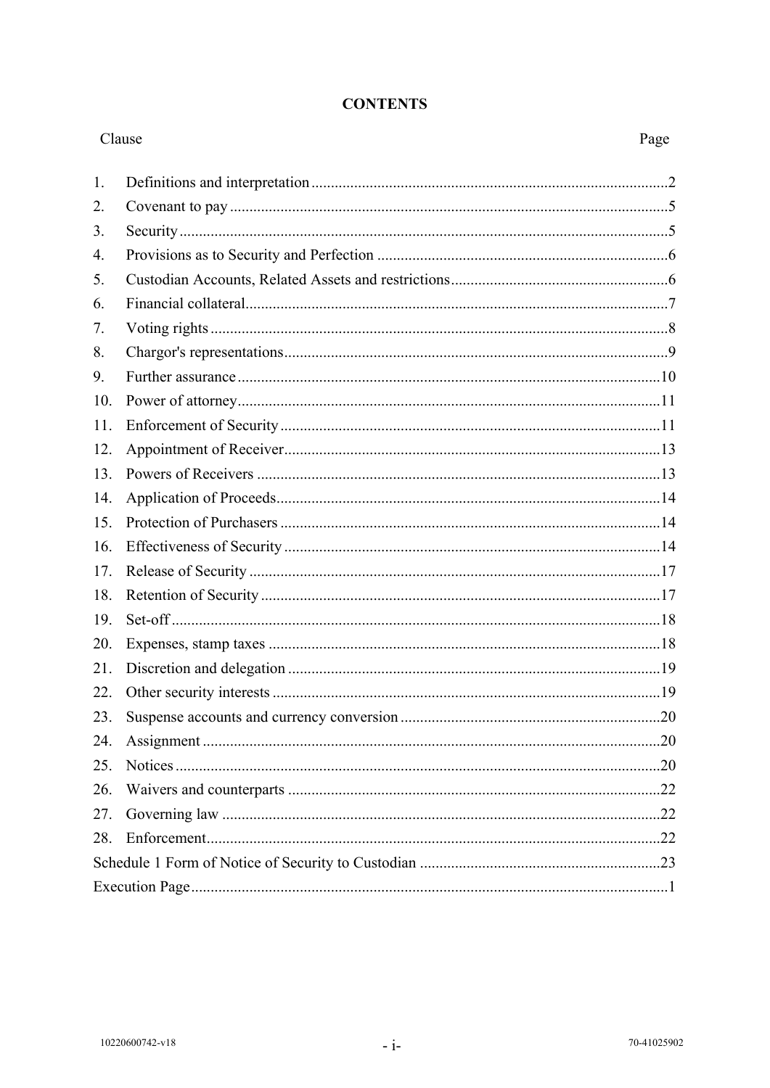## **CONTENTS**

| Clause |  | Page |
|--------|--|------|
| 1.     |  |      |
| 2.     |  |      |
| 3.     |  |      |
| 4.     |  |      |
| 5.     |  |      |
| 6.     |  |      |
| 7.     |  |      |
| 8.     |  |      |
| 9.     |  |      |
| 10.    |  |      |
| 11.    |  |      |
| 12.    |  |      |
| 13.    |  |      |
| 14.    |  |      |
| 15.    |  |      |
| 16.    |  |      |
| 17.    |  |      |
| 18.    |  |      |
| 19.    |  |      |
| 20.    |  |      |
| 21.    |  |      |
| 22.    |  |      |
| 23.    |  |      |
| 24.    |  |      |
| 25.    |  |      |
| 26.    |  |      |
| 27.    |  |      |
| 28.    |  |      |
|        |  |      |
|        |  |      |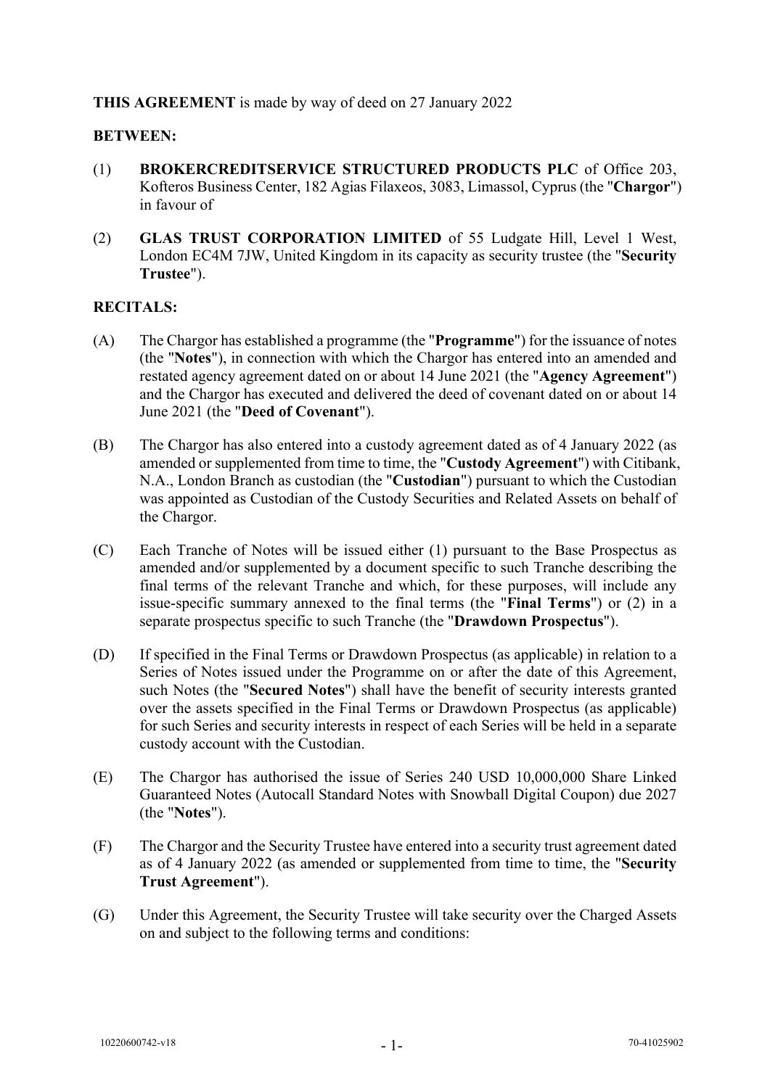## **THIS AGREEMENT** is made by way of deed on 27 January 2022

#### **BETWEEN:**

- (1) **BROKERCREDITSERVICE STRUCTURED PRODUCTS PLC** of Office 203, Kofteros Business Center, 182 Agias Filaxeos, 3083, Limassol, Cyprus (the "**Chargor**") in favour of
- (2) **GLAS TRUST CORPORATION LIMITED** of 55 Ludgate Hill, Level 1 West, London EC4M 7JW, United Kingdom in its capacity as security trustee (the "**Security Trustee**").

#### **RECITALS:**

- (A) The Chargor has established a programme (the "**Programme**") for the issuance of notes (the "**Notes**"), in connection with which the Chargor has entered into an amended and restated agency agreement dated on or about 14 June 2021 (the "**Agency Agreement**") and the Chargor has executed and delivered the deed of covenant dated on or about 14 June 2021 (the "**Deed of Covenant**").
- (B) The Chargor has also entered into a custody agreement dated as of 4 January 2022 (as amended or supplemented from time to time, the "**Custody Agreement**") with Citibank, N.A., London Branch as custodian (the "**Custodian**") pursuant to which the Custodian was appointed as Custodian of the Custody Securities and Related Assets on behalf of the Chargor.
- (C) Each Tranche of Notes will be issued either (1) pursuant to the Base Prospectus as amended and/or supplemented by a document specific to such Tranche describing the final terms of the relevant Tranche and which, for these purposes, will include any issue-specific summary annexed to the final terms (the "**Final Terms**") or (2) in a separate prospectus specific to such Tranche (the "**Drawdown Prospectus**").
- (D) If specified in the Final Terms or Drawdown Prospectus (as applicable) in relation to a Series of Notes issued under the Programme on or after the date of this Agreement, such Notes (the "**Secured Notes**") shall have the benefit of security interests granted over the assets specified in the Final Terms or Drawdown Prospectus (as applicable) for such Series and security interests in respect of each Series will be held in a separate custody account with the Custodian.
- (E) The Chargor has authorised the issue of Series 240 USD 10,000,000 Share Linked Guaranteed Notes (Autocall Standard Notes with Snowball Digital Coupon) due 2027 (the "**Notes**").
- (F) The Chargor and the Security Trustee have entered into a security trust agreement dated as of 4 January 2022 (as amended or supplemented from time to time, the "**Security Trust Agreement**").
- (G) Under this Agreement, the Security Trustee will take security over the Charged Assets on and subject to the following terms and conditions: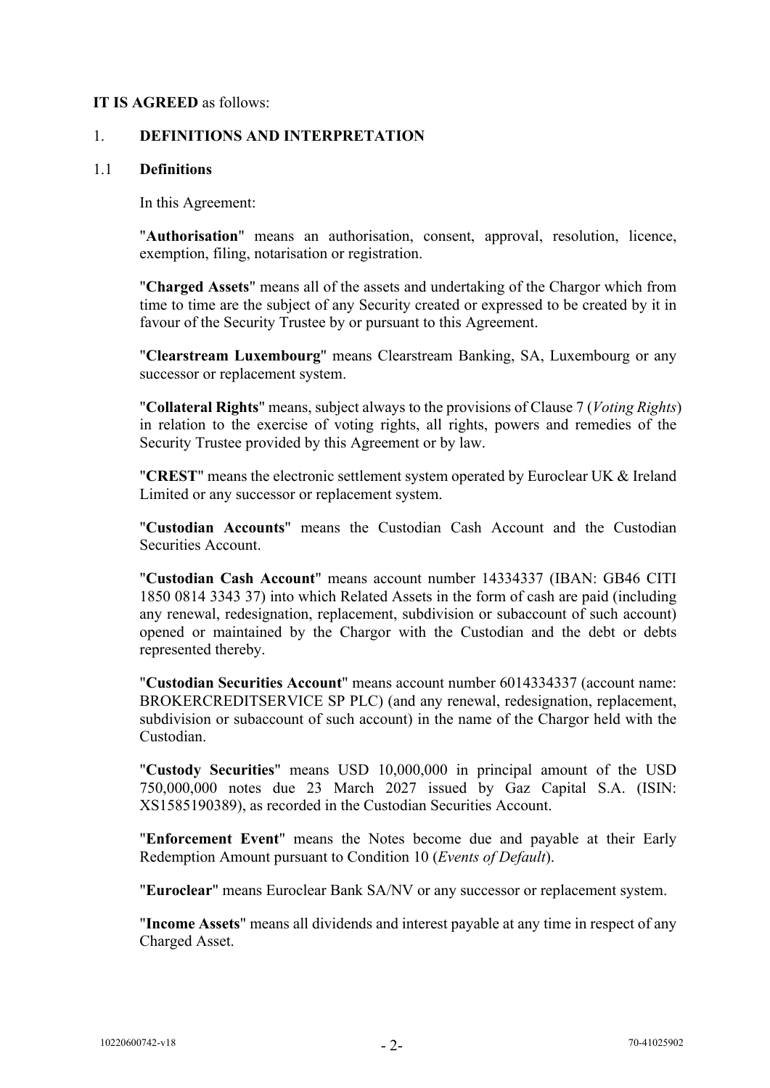#### **IT IS AGREED** as follows:

## <span id="page-3-0"></span>1. **DEFINITIONS AND INTERPRETATION**

#### 1.1 **Definitions**

In this Agreement:

"**Authorisation**" means an authorisation, consent, approval, resolution, licence, exemption, filing, notarisation or registration.

"**Charged Assets**" means all of the assets and undertaking of the Chargor which from time to time are the subject of any Security created or expressed to be created by it in favour of the Security Trustee by or pursuant to this Agreement.

"**Clearstream Luxembourg**" means Clearstream Banking, SA, Luxembourg or any successor or replacement system.

"**Collateral Rights**" means, subject always to the provisions of Clause [7](#page-9-0) (*Voting Rights*) in relation to the exercise of voting rights, all rights, powers and remedies of the Security Trustee provided by this Agreement or by law.

"**CREST**" means the electronic settlement system operated by Euroclear UK & Ireland Limited or any successor or replacement system.

"**Custodian Accounts**" means the Custodian Cash Account and the Custodian Securities Account.

"**Custodian Cash Account**" means account number 14334337 (IBAN: GB46 CITI 1850 0814 3343 37) into which Related Assets in the form of cash are paid (including any renewal, redesignation, replacement, subdivision or subaccount of such account) opened or maintained by the Chargor with the Custodian and the debt or debts represented thereby.

"**Custodian Securities Account**" means account number 6014334337 (account name: BROKERCREDITSERVICE SP PLC) (and any renewal, redesignation, replacement, subdivision or subaccount of such account) in the name of the Chargor held with the Custodian.

"**Custody Securities**" means USD 10,000,000 in principal amount of the USD 750,000,000 notes due 23 March 2027 issued by Gaz Capital S.A. (ISIN: XS1585190389), as recorded in the Custodian Securities Account.

"**Enforcement Event**" means the Notes become due and payable at their Early Redemption Amount pursuant to Condition 10 (*Events of Default*).

"**Euroclear**" means Euroclear Bank SA/NV or any successor or replacement system.

"**Income Assets**" means all dividends and interest payable at any time in respect of any Charged Asset.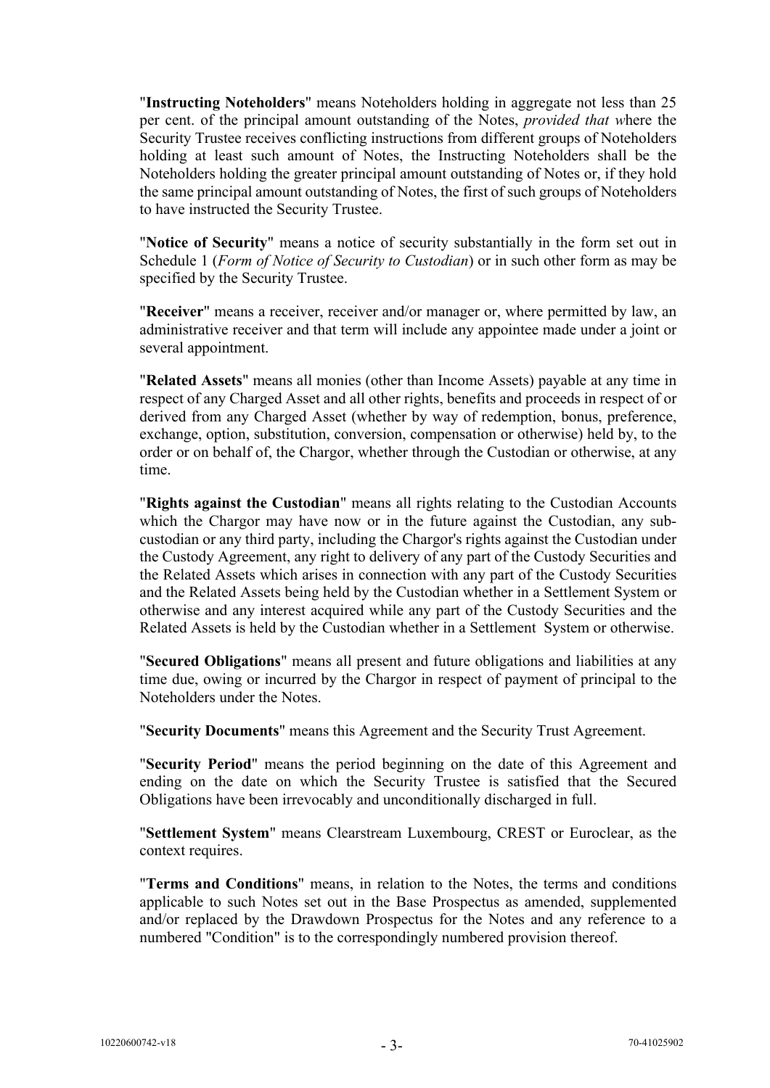"**Instructing Noteholders**" means Noteholders holding in aggregate not less than 25 per cent. of the principal amount outstanding of the Notes, *provided that w*here the Security Trustee receives conflicting instructions from different groups of Noteholders holding at least such amount of Notes, the Instructing Noteholders shall be the Noteholders holding the greater principal amount outstanding of Notes or, if they hold the same principal amount outstanding of Notes, the first of such groups of Noteholders to have instructed the Security Trustee.

"**Notice of Security**" means a notice of security substantially in the form set out in [Schedule 1](#page-24-1) (*Form of Notice of Security to Custodian*) or in such other form as may be specified by the Security Trustee.

"**Receiver**" means a receiver, receiver and/or manager or, where permitted by law, an administrative receiver and that term will include any appointee made under a joint or several appointment.

"**Related Assets**" means all monies (other than Income Assets) payable at any time in respect of any Charged Asset and all other rights, benefits and proceeds in respect of or derived from any Charged Asset (whether by way of redemption, bonus, preference, exchange, option, substitution, conversion, compensation or otherwise) held by, to the order or on behalf of, the Chargor, whether through the Custodian or otherwise, at any time.

"**Rights against the Custodian**" means all rights relating to the Custodian Accounts which the Chargor may have now or in the future against the Custodian, any subcustodian or any third party, including the Chargor's rights against the Custodian under the Custody Agreement, any right to delivery of any part of the Custody Securities and the Related Assets which arises in connection with any part of the Custody Securities and the Related Assets being held by the Custodian whether in a Settlement System or otherwise and any interest acquired while any part of the Custody Securities and the Related Assets is held by the Custodian whether in a Settlement System or otherwise.

"**Secured Obligations**" means all present and future obligations and liabilities at any time due, owing or incurred by the Chargor in respect of payment of principal to the Noteholders under the Notes.

"**Security Documents**" means this Agreement and the Security Trust Agreement.

"**Security Period**" means the period beginning on the date of this Agreement and ending on the date on which the Security Trustee is satisfied that the Secured Obligations have been irrevocably and unconditionally discharged in full.

"**Settlement System**" means Clearstream Luxembourg, CREST or Euroclear, as the context requires.

"**Terms and Conditions**" means, in relation to the Notes, the terms and conditions applicable to such Notes set out in the Base Prospectus as amended, supplemented and/or replaced by the Drawdown Prospectus for the Notes and any reference to a numbered "Condition" is to the correspondingly numbered provision thereof.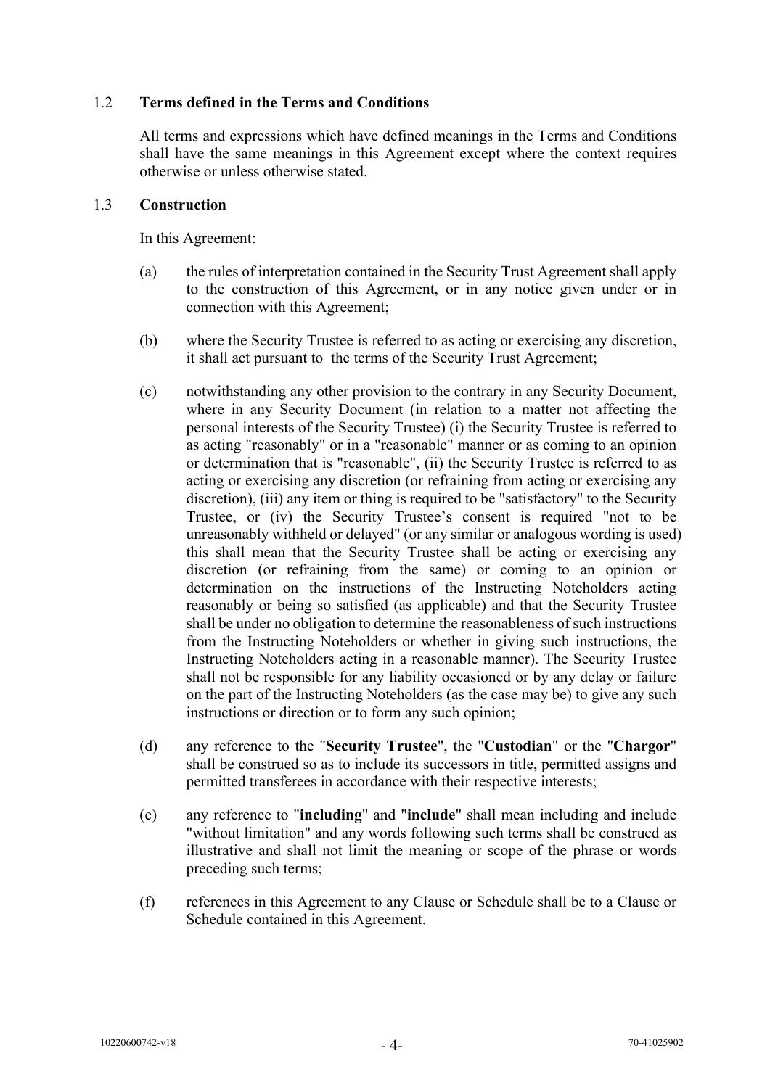## 1.2 **Terms defined in the Terms and Conditions**

All terms and expressions which have defined meanings in the Terms and Conditions shall have the same meanings in this Agreement except where the context requires otherwise or unless otherwise stated.

## 1.3 **Construction**

In this Agreement:

- (a) the rules of interpretation contained in the Security Trust Agreement shall apply to the construction of this Agreement, or in any notice given under or in connection with this Agreement;
- (b) where the Security Trustee is referred to as acting or exercising any discretion, it shall act pursuant to the terms of the Security Trust Agreement;
- (c) notwithstanding any other provision to the contrary in any Security Document, where in any Security Document (in relation to a matter not affecting the personal interests of the Security Trustee) (i) the Security Trustee is referred to as acting "reasonably" or in a "reasonable" manner or as coming to an opinion or determination that is "reasonable", (ii) the Security Trustee is referred to as acting or exercising any discretion (or refraining from acting or exercising any discretion), (iii) any item or thing is required to be "satisfactory" to the Security Trustee, or (iv) the Security Trustee's consent is required "not to be unreasonably withheld or delayed" (or any similar or analogous wording is used) this shall mean that the Security Trustee shall be acting or exercising any discretion (or refraining from the same) or coming to an opinion or determination on the instructions of the Instructing Noteholders acting reasonably or being so satisfied (as applicable) and that the Security Trustee shall be under no obligation to determine the reasonableness of such instructions from the Instructing Noteholders or whether in giving such instructions, the Instructing Noteholders acting in a reasonable manner). The Security Trustee shall not be responsible for any liability occasioned or by any delay or failure on the part of the Instructing Noteholders (as the case may be) to give any such instructions or direction or to form any such opinion;
- (d) any reference to the "**Security Trustee**", the "**Custodian**" or the "**Chargor**" shall be construed so as to include its successors in title, permitted assigns and permitted transferees in accordance with their respective interests;
- (e) any reference to "**including**" and "**include**" shall mean including and include "without limitation" and any words following such terms shall be construed as illustrative and shall not limit the meaning or scope of the phrase or words preceding such terms;
- (f) references in this Agreement to any Clause or Schedule shall be to a Clause or Schedule contained in this Agreement.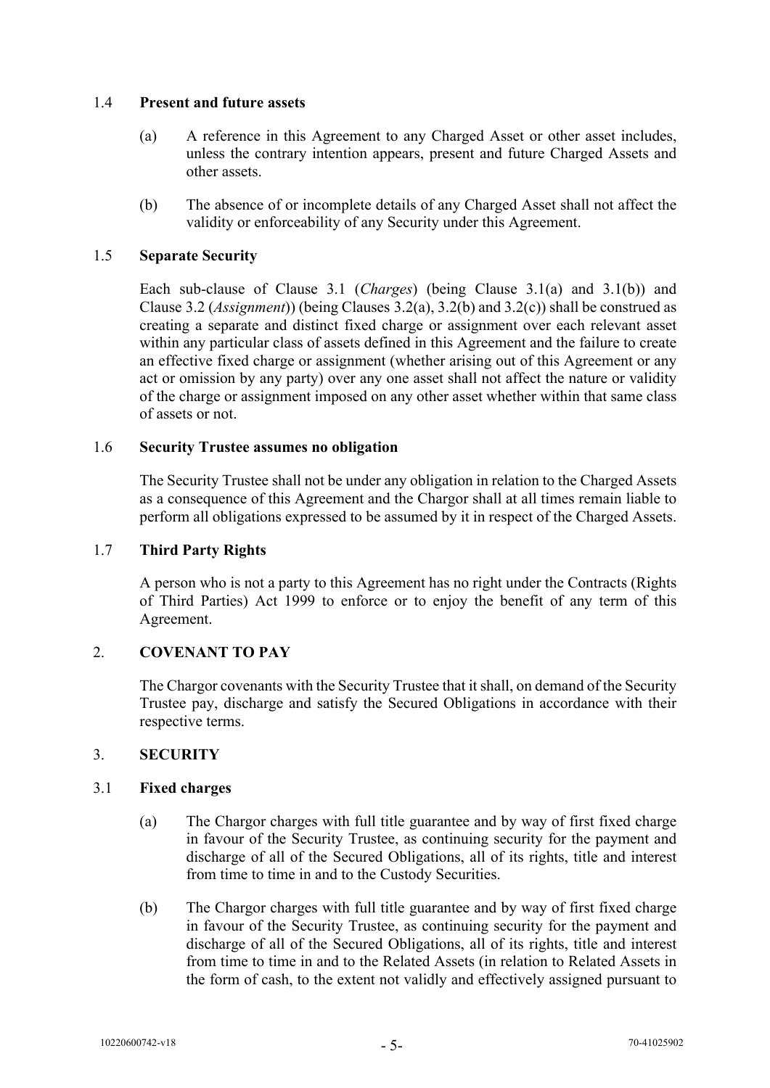## 1.4 **Present and future assets**

- (a) A reference in this Agreement to any Charged Asset or other asset includes, unless the contrary intention appears, present and future Charged Assets and other assets.
- (b) The absence of or incomplete details of any Charged Asset shall not affect the validity or enforceability of any Security under this Agreement.

## 1.5 **Separate Security**

Each sub-clause of Clause [3.1](#page-6-2) (*Charges*) (being Clause [3.1](#page-6-2)[\(a\)](#page-6-3) and [3.1](#page-6-2)[\(b\)](#page-6-4)) and Clause [3.2](#page-7-2) (*Assignment*)) (being Clauses [3.2](#page-7-2)[\(a\)](#page-7-3), [3.2](#page-7-2)[\(b\)](#page-7-4) and [3.2](#page-7-2)[\(c\)](#page-7-5)) shall be construed as creating a separate and distinct fixed charge or assignment over each relevant asset within any particular class of assets defined in this Agreement and the failure to create an effective fixed charge or assignment (whether arising out of this Agreement or any act or omission by any party) over any one asset shall not affect the nature or validity of the charge or assignment imposed on any other asset whether within that same class of assets or not.

### 1.6 **Security Trustee assumes no obligation**

The Security Trustee shall not be under any obligation in relation to the Charged Assets as a consequence of this Agreement and the Chargor shall at all times remain liable to perform all obligations expressed to be assumed by it in respect of the Charged Assets.

## 1.7 **Third Party Rights**

A person who is not a party to this Agreement has no right under the Contracts (Rights of Third Parties) Act 1999 to enforce or to enjoy the benefit of any term of this Agreement.

## <span id="page-6-0"></span>2. **COVENANT TO PAY**

The Chargor covenants with the Security Trustee that it shall, on demand of the Security Trustee pay, discharge and satisfy the Secured Obligations in accordance with their respective terms.

## <span id="page-6-1"></span>3. **SECURITY**

#### <span id="page-6-2"></span>3.1 **Fixed charges**

- <span id="page-6-3"></span>(a) The Chargor charges with full title guarantee and by way of first fixed charge in favour of the Security Trustee, as continuing security for the payment and discharge of all of the Secured Obligations, all of its rights, title and interest from time to time in and to the Custody Securities.
- <span id="page-6-4"></span>(b) The Chargor charges with full title guarantee and by way of first fixed charge in favour of the Security Trustee, as continuing security for the payment and discharge of all of the Secured Obligations, all of its rights, title and interest from time to time in and to the Related Assets (in relation to Related Assets in the form of cash, to the extent not validly and effectively assigned pursuant to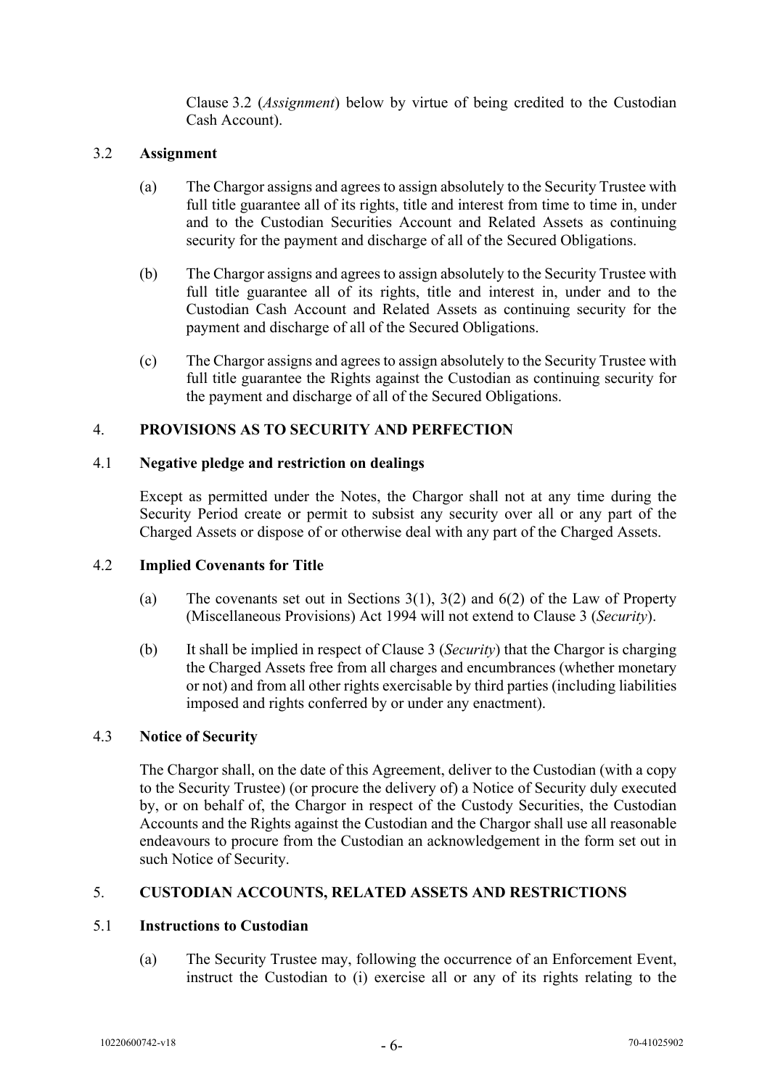Clause [3.2](#page-7-2) (*Assignment*) below by virtue of being credited to the Custodian Cash Account).

## <span id="page-7-2"></span>3.2 **Assignment**

- <span id="page-7-3"></span>(a) The Chargor assigns and agrees to assign absolutely to the Security Trustee with full title guarantee all of its rights, title and interest from time to time in, under and to the Custodian Securities Account and Related Assets as continuing security for the payment and discharge of all of the Secured Obligations.
- <span id="page-7-4"></span>(b) The Chargor assigns and agrees to assign absolutely to the Security Trustee with full title guarantee all of its rights, title and interest in, under and to the Custodian Cash Account and Related Assets as continuing security for the payment and discharge of all of the Secured Obligations.
- <span id="page-7-5"></span>(c) The Chargor assigns and agrees to assign absolutely to the Security Trustee with full title guarantee the Rights against the Custodian as continuing security for the payment and discharge of all of the Secured Obligations.

## <span id="page-7-0"></span>4. **PROVISIONS AS TO SECURITY AND PERFECTION**

#### 4.1 **Negative pledge and restriction on dealings**

Except as permitted under the Notes, the Chargor shall not at any time during the Security Period create or permit to subsist any security over all or any part of the Charged Assets or dispose of or otherwise deal with any part of the Charged Assets.

#### 4.2 **Implied Covenants for Title**

- (a) The covenants set out in Sections  $3(1)$ ,  $3(2)$  and  $6(2)$  of the Law of Property (Miscellaneous Provisions) Act 1994 will not extend to Clause [3](#page-6-1) (*Security*).
- (b) It shall be implied in respect of Clause [3](#page-6-1) (*Security*) that the Chargor is charging the Charged Assets free from all charges and encumbrances (whether monetary or not) and from all other rights exercisable by third parties (including liabilities imposed and rights conferred by or under any enactment).

#### 4.3 **Notice of Security**

The Chargor shall, on the date of this Agreement, deliver to the Custodian (with a copy to the Security Trustee) (or procure the delivery of) a Notice of Security duly executed by, or on behalf of, the Chargor in respect of the Custody Securities, the Custodian Accounts and the Rights against the Custodian and the Chargor shall use all reasonable endeavours to procure from the Custodian an acknowledgement in the form set out in such Notice of Security.

#### <span id="page-7-1"></span>5. **CUSTODIAN ACCOUNTS, RELATED ASSETS AND RESTRICTIONS**

## 5.1 **Instructions to Custodian**

(a) The Security Trustee may, following the occurrence of an Enforcement Event, instruct the Custodian to (i) exercise all or any of its rights relating to the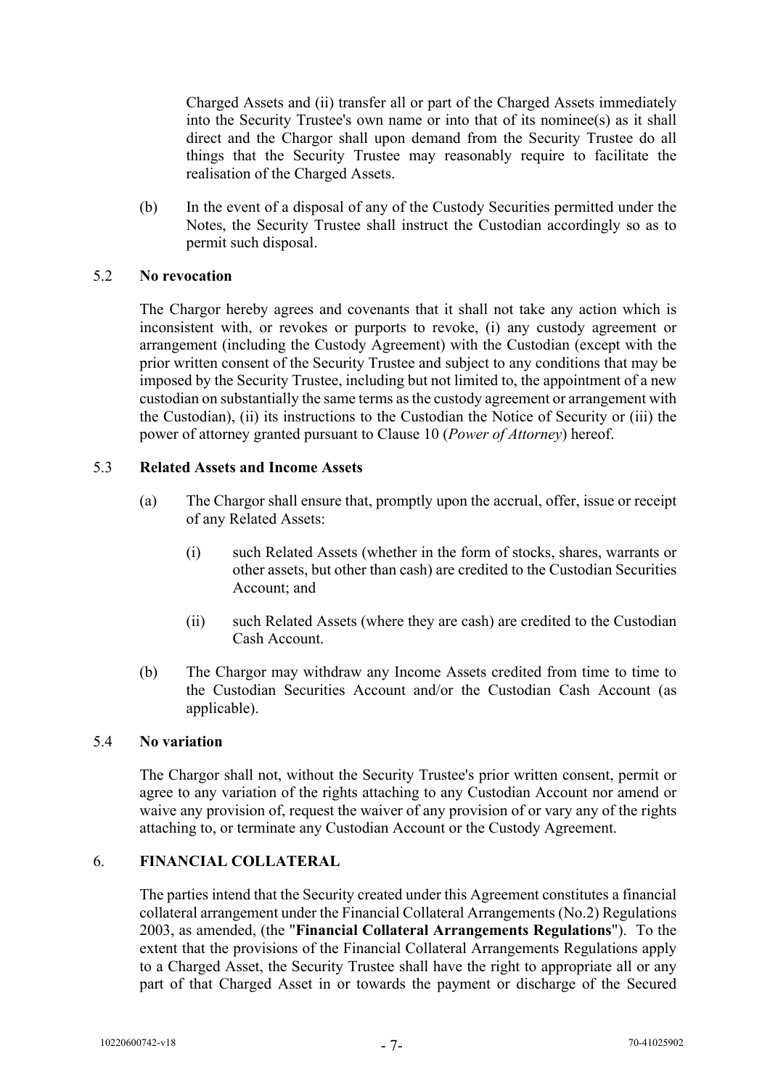Charged Assets and (ii) transfer all or part of the Charged Assets immediately into the Security Trustee's own name or into that of its nominee(s) as it shall direct and the Chargor shall upon demand from the Security Trustee do all things that the Security Trustee may reasonably require to facilitate the realisation of the Charged Assets.

(b) In the event of a disposal of any of the Custody Securities permitted under the Notes, the Security Trustee shall instruct the Custodian accordingly so as to permit such disposal.

## 5.2 **No revocation**

The Chargor hereby agrees and covenants that it shall not take any action which is inconsistent with, or revokes or purports to revoke, (i) any custody agreement or arrangement (including the Custody Agreement) with the Custodian (except with the prior written consent of the Security Trustee and subject to any conditions that may be imposed by the Security Trustee, including but not limited to, the appointment of a new custodian on substantially the same terms as the custody agreement or arrangement with the Custodian), (ii) its instructions to the Custodian the Notice of Security or (iii) the power of attorney granted pursuant to Clause [10](#page-12-0) (*Power of Attorney*) hereof.

## 5.3 **Related Assets and Income Assets**

- (a) The Chargor shall ensure that, promptly upon the accrual, offer, issue or receipt of any Related Assets:
	- (i) such Related Assets (whether in the form of stocks, shares, warrants or other assets, but other than cash) are credited to the Custodian Securities Account; and
	- (ii) such Related Assets (where they are cash) are credited to the Custodian Cash Account.
- (b) The Chargor may withdraw any Income Assets credited from time to time to the Custodian Securities Account and/or the Custodian Cash Account (as applicable).

#### 5.4 **No variation**

The Chargor shall not, without the Security Trustee's prior written consent, permit or agree to any variation of the rights attaching to any Custodian Account nor amend or waive any provision of, request the waiver of any provision of or vary any of the rights attaching to, or terminate any Custodian Account or the Custody Agreement.

## <span id="page-8-0"></span>6. **FINANCIAL COLLATERAL**

The parties intend that the Security created under this Agreement constitutes a financial collateral arrangement under the Financial Collateral Arrangements (No.2) Regulations 2003, as amended, (the "**Financial Collateral Arrangements Regulations**"). To the extent that the provisions of the Financial Collateral Arrangements Regulations apply to a Charged Asset, the Security Trustee shall have the right to appropriate all or any part of that Charged Asset in or towards the payment or discharge of the Secured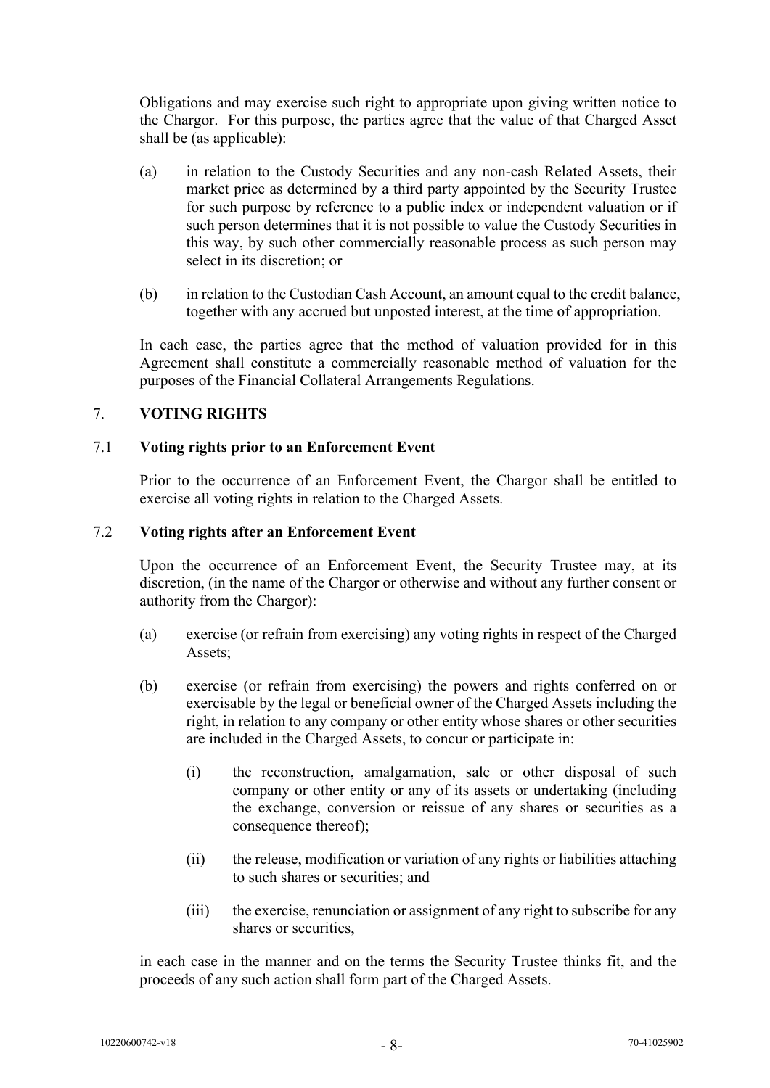Obligations and may exercise such right to appropriate upon giving written notice to the Chargor. For this purpose, the parties agree that the value of that Charged Asset shall be (as applicable):

- (a) in relation to the Custody Securities and any non-cash Related Assets, their market price as determined by a third party appointed by the Security Trustee for such purpose by reference to a public index or independent valuation or if such person determines that it is not possible to value the Custody Securities in this way, by such other commercially reasonable process as such person may select in its discretion; or
- (b) in relation to the Custodian Cash Account, an amount equal to the credit balance, together with any accrued but unposted interest, at the time of appropriation.

In each case, the parties agree that the method of valuation provided for in this Agreement shall constitute a commercially reasonable method of valuation for the purposes of the Financial Collateral Arrangements Regulations.

## <span id="page-9-0"></span>7. **VOTING RIGHTS**

## 7.1 **Voting rights prior to an Enforcement Event**

Prior to the occurrence of an Enforcement Event, the Chargor shall be entitled to exercise all voting rights in relation to the Charged Assets.

#### 7.2 **Voting rights after an Enforcement Event**

Upon the occurrence of an Enforcement Event, the Security Trustee may, at its discretion, (in the name of the Chargor or otherwise and without any further consent or authority from the Chargor):

- (a) exercise (or refrain from exercising) any voting rights in respect of the Charged Assets;
- (b) exercise (or refrain from exercising) the powers and rights conferred on or exercisable by the legal or beneficial owner of the Charged Assets including the right, in relation to any company or other entity whose shares or other securities are included in the Charged Assets, to concur or participate in:
	- (i) the reconstruction, amalgamation, sale or other disposal of such company or other entity or any of its assets or undertaking (including the exchange, conversion or reissue of any shares or securities as a consequence thereof);
	- (ii) the release, modification or variation of any rights or liabilities attaching to such shares or securities; and
	- (iii) the exercise, renunciation or assignment of any right to subscribe for any shares or securities,

in each case in the manner and on the terms the Security Trustee thinks fit, and the proceeds of any such action shall form part of the Charged Assets.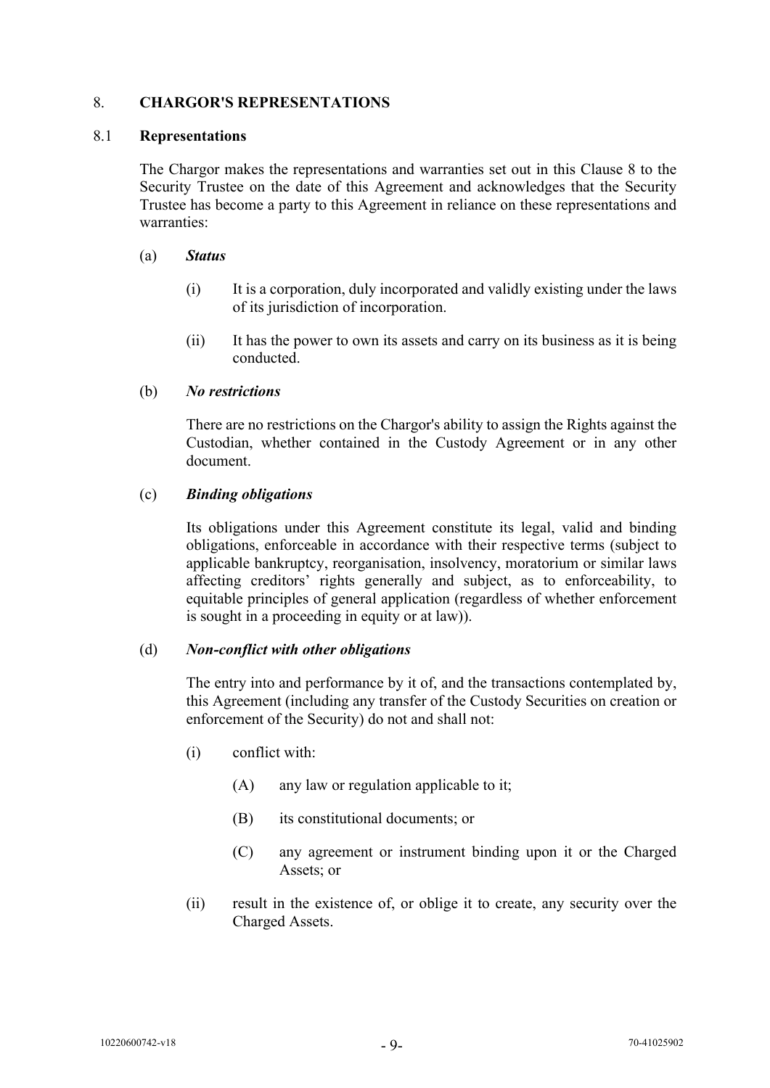## <span id="page-10-0"></span>8. **CHARGOR'S REPRESENTATIONS**

#### 8.1 **Representations**

The Chargor makes the representations and warranties set out in this Clause [8](#page-10-0) to the Security Trustee on the date of this Agreement and acknowledges that the Security Trustee has become a party to this Agreement in reliance on these representations and warranties:

#### (a) *Status*

- (i) It is a corporation, duly incorporated and validly existing under the laws of its jurisdiction of incorporation.
- (ii) It has the power to own its assets and carry on its business as it is being conducted.

#### (b) *No restrictions*

There are no restrictions on the Chargor's ability to assign the Rights against the Custodian, whether contained in the Custody Agreement or in any other document.

#### (c) *Binding obligations*

Its obligations under this Agreement constitute its legal, valid and binding obligations, enforceable in accordance with their respective terms (subject to applicable bankruptcy, reorganisation, insolvency, moratorium or similar laws affecting creditors' rights generally and subject, as to enforceability, to equitable principles of general application (regardless of whether enforcement is sought in a proceeding in equity or at law)).

#### (d) *Non-conflict with other obligations*

The entry into and performance by it of, and the transactions contemplated by, this Agreement (including any transfer of the Custody Securities on creation or enforcement of the Security) do not and shall not:

- (i) conflict with:
	- (A) any law or regulation applicable to it;
	- (B) its constitutional documents; or
	- (C) any agreement or instrument binding upon it or the Charged Assets; or
- (ii) result in the existence of, or oblige it to create, any security over the Charged Assets.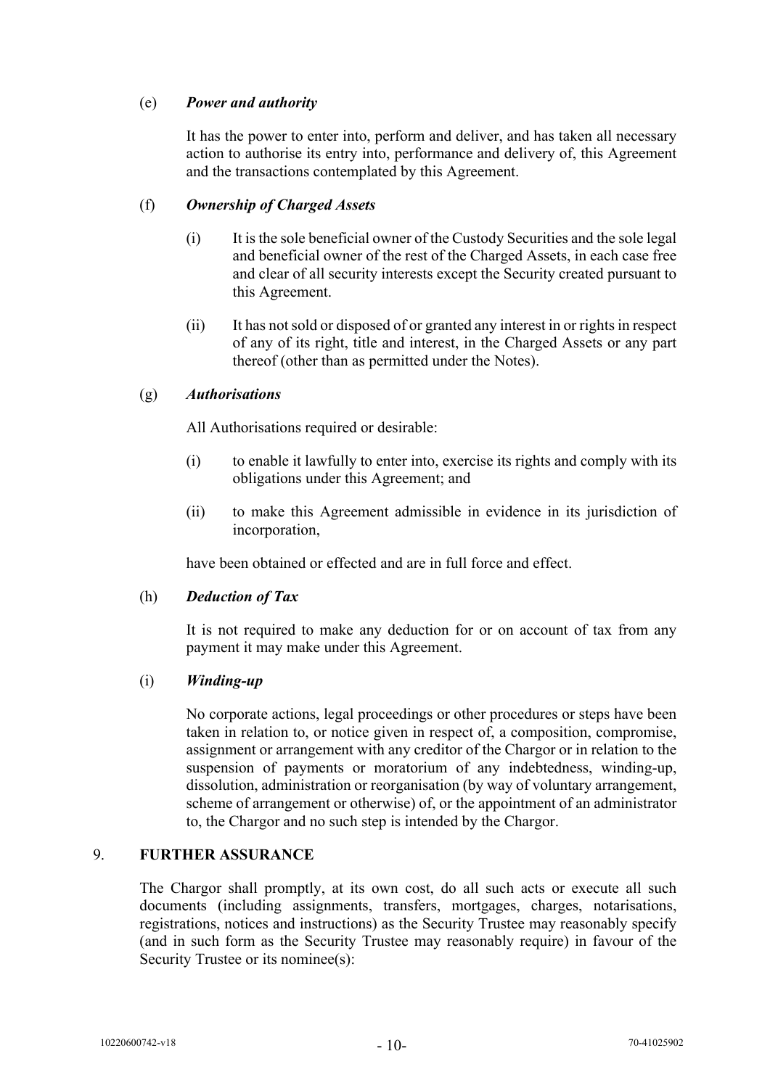## (e) *Power and authority*

It has the power to enter into, perform and deliver, and has taken all necessary action to authorise its entry into, performance and delivery of, this Agreement and the transactions contemplated by this Agreement.

## (f) *Ownership of Charged Assets*

- (i) It is the sole beneficial owner of the Custody Securities and the sole legal and beneficial owner of the rest of the Charged Assets, in each case free and clear of all security interests except the Security created pursuant to this Agreement.
- (ii) It has not sold or disposed of or granted any interest in or rights in respect of any of its right, title and interest, in the Charged Assets or any part thereof (other than as permitted under the Notes).

## (g) *Authorisations*

All Authorisations required or desirable:

- (i) to enable it lawfully to enter into, exercise its rights and comply with its obligations under this Agreement; and
- (ii) to make this Agreement admissible in evidence in its jurisdiction of incorporation,

have been obtained or effected and are in full force and effect.

#### (h) *Deduction of Tax*

It is not required to make any deduction for or on account of tax from any payment it may make under this Agreement.

#### (i) *Winding-up*

No corporate actions, legal proceedings or other procedures or steps have been taken in relation to, or notice given in respect of, a composition, compromise, assignment or arrangement with any creditor of the Chargor or in relation to the suspension of payments or moratorium of any indebtedness, winding-up, dissolution, administration or reorganisation (by way of voluntary arrangement, scheme of arrangement or otherwise) of, or the appointment of an administrator to, the Chargor and no such step is intended by the Chargor.

#### <span id="page-11-0"></span>9. **FURTHER ASSURANCE**

The Chargor shall promptly, at its own cost, do all such acts or execute all such documents (including assignments, transfers, mortgages, charges, notarisations, registrations, notices and instructions) as the Security Trustee may reasonably specify (and in such form as the Security Trustee may reasonably require) in favour of the Security Trustee or its nominee(s):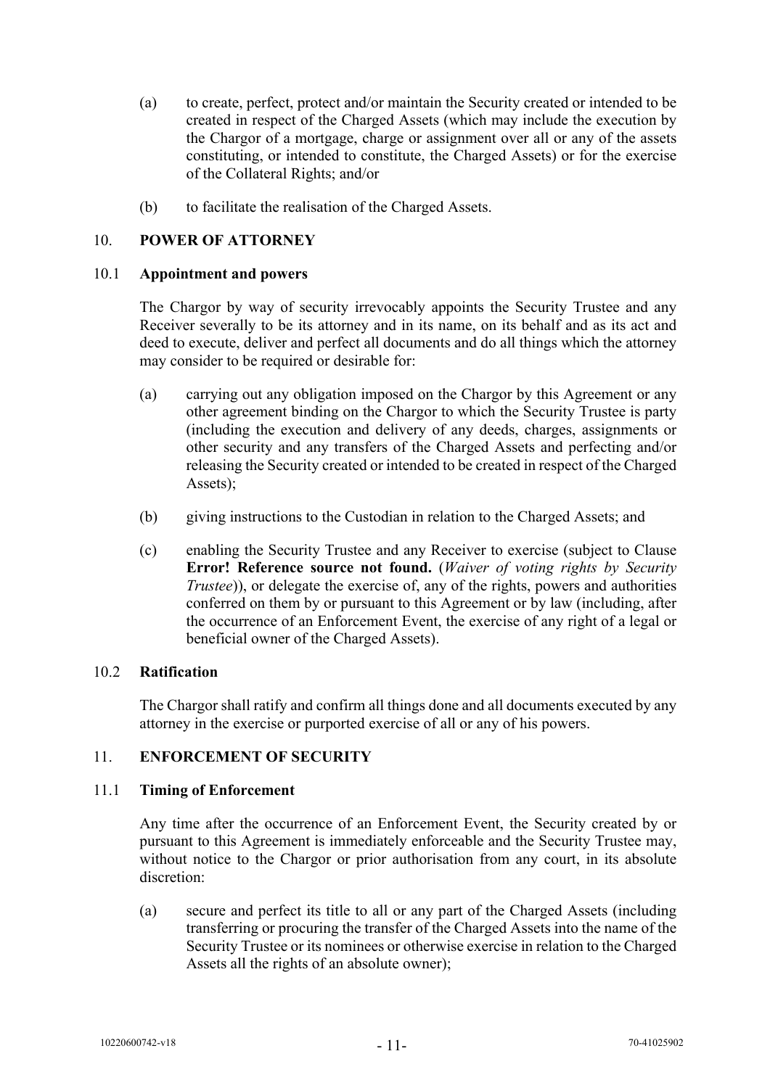- (a) to create, perfect, protect and/or maintain the Security created or intended to be created in respect of the Charged Assets (which may include the execution by the Chargor of a mortgage, charge or assignment over all or any of the assets constituting, or intended to constitute, the Charged Assets) or for the exercise of the Collateral Rights; and/or
- (b) to facilitate the realisation of the Charged Assets.

## <span id="page-12-0"></span>10. **POWER OF ATTORNEY**

#### 10.1 **Appointment and powers**

The Chargor by way of security irrevocably appoints the Security Trustee and any Receiver severally to be its attorney and in its name, on its behalf and as its act and deed to execute, deliver and perfect all documents and do all things which the attorney may consider to be required or desirable for:

- (a) carrying out any obligation imposed on the Chargor by this Agreement or any other agreement binding on the Chargor to which the Security Trustee is party (including the execution and delivery of any deeds, charges, assignments or other security and any transfers of the Charged Assets and perfecting and/or releasing the Security created or intended to be created in respect of the Charged Assets);
- (b) giving instructions to the Custodian in relation to the Charged Assets; and
- (c) enabling the Security Trustee and any Receiver to exercise (subject to Clause **Error! Reference source not found.** (*Waiver of voting rights by Security Trustee*)), or delegate the exercise of, any of the rights, powers and authorities conferred on them by or pursuant to this Agreement or by law (including, after the occurrence of an Enforcement Event, the exercise of any right of a legal or beneficial owner of the Charged Assets).

#### 10.2 **Ratification**

The Chargor shall ratify and confirm all things done and all documents executed by any attorney in the exercise or purported exercise of all or any of his powers.

#### <span id="page-12-1"></span>11. **ENFORCEMENT OF SECURITY**

#### 11.1 **Timing of Enforcement**

Any time after the occurrence of an Enforcement Event, the Security created by or pursuant to this Agreement is immediately enforceable and the Security Trustee may, without notice to the Chargor or prior authorisation from any court, in its absolute discretion:

(a) secure and perfect its title to all or any part of the Charged Assets (including transferring or procuring the transfer of the Charged Assets into the name of the Security Trustee or its nominees or otherwise exercise in relation to the Charged Assets all the rights of an absolute owner);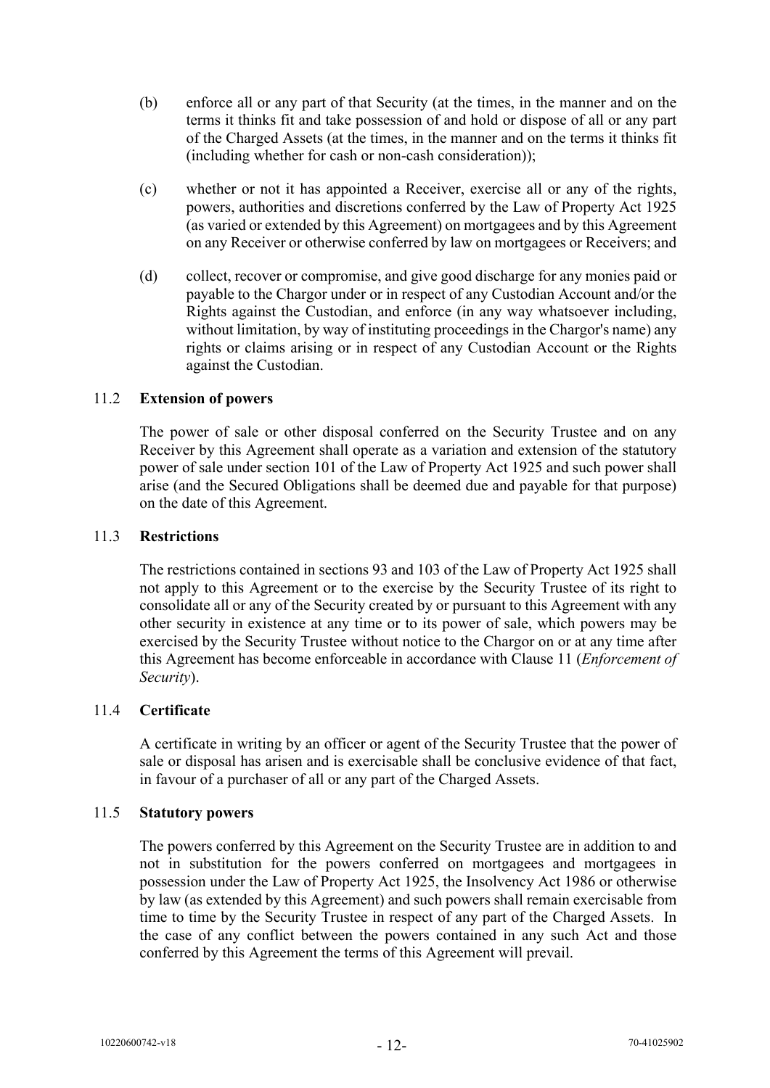- (b) enforce all or any part of that Security (at the times, in the manner and on the terms it thinks fit and take possession of and hold or dispose of all or any part of the Charged Assets (at the times, in the manner and on the terms it thinks fit (including whether for cash or non-cash consideration));
- (c) whether or not it has appointed a Receiver, exercise all or any of the rights, powers, authorities and discretions conferred by the Law of Property Act 1925 (as varied or extended by this Agreement) on mortgagees and by this Agreement on any Receiver or otherwise conferred by law on mortgagees or Receivers; and
- (d) collect, recover or compromise, and give good discharge for any monies paid or payable to the Chargor under or in respect of any Custodian Account and/or the Rights against the Custodian, and enforce (in any way whatsoever including, without limitation, by way of instituting proceedings in the Chargor's name) any rights or claims arising or in respect of any Custodian Account or the Rights against the Custodian.

#### 11.2 **Extension of powers**

The power of sale or other disposal conferred on the Security Trustee and on any Receiver by this Agreement shall operate as a variation and extension of the statutory power of sale under section 101 of the Law of Property Act 1925 and such power shall arise (and the Secured Obligations shall be deemed due and payable for that purpose) on the date of this Agreement.

#### 11.3 **Restrictions**

The restrictions contained in sections 93 and 103 of the Law of Property Act 1925 shall not apply to this Agreement or to the exercise by the Security Trustee of its right to consolidate all or any of the Security created by or pursuant to this Agreement with any other security in existence at any time or to its power of sale, which powers may be exercised by the Security Trustee without notice to the Chargor on or at any time after this Agreement has become enforceable in accordance with Clause [11](#page-12-1) (*Enforcement of Security*).

#### 11.4 **Certificate**

A certificate in writing by an officer or agent of the Security Trustee that the power of sale or disposal has arisen and is exercisable shall be conclusive evidence of that fact, in favour of a purchaser of all or any part of the Charged Assets.

### 11.5 **Statutory powers**

The powers conferred by this Agreement on the Security Trustee are in addition to and not in substitution for the powers conferred on mortgagees and mortgagees in possession under the Law of Property Act 1925, the Insolvency Act 1986 or otherwise by law (as extended by this Agreement) and such powers shall remain exercisable from time to time by the Security Trustee in respect of any part of the Charged Assets. In the case of any conflict between the powers contained in any such Act and those conferred by this Agreement the terms of this Agreement will prevail.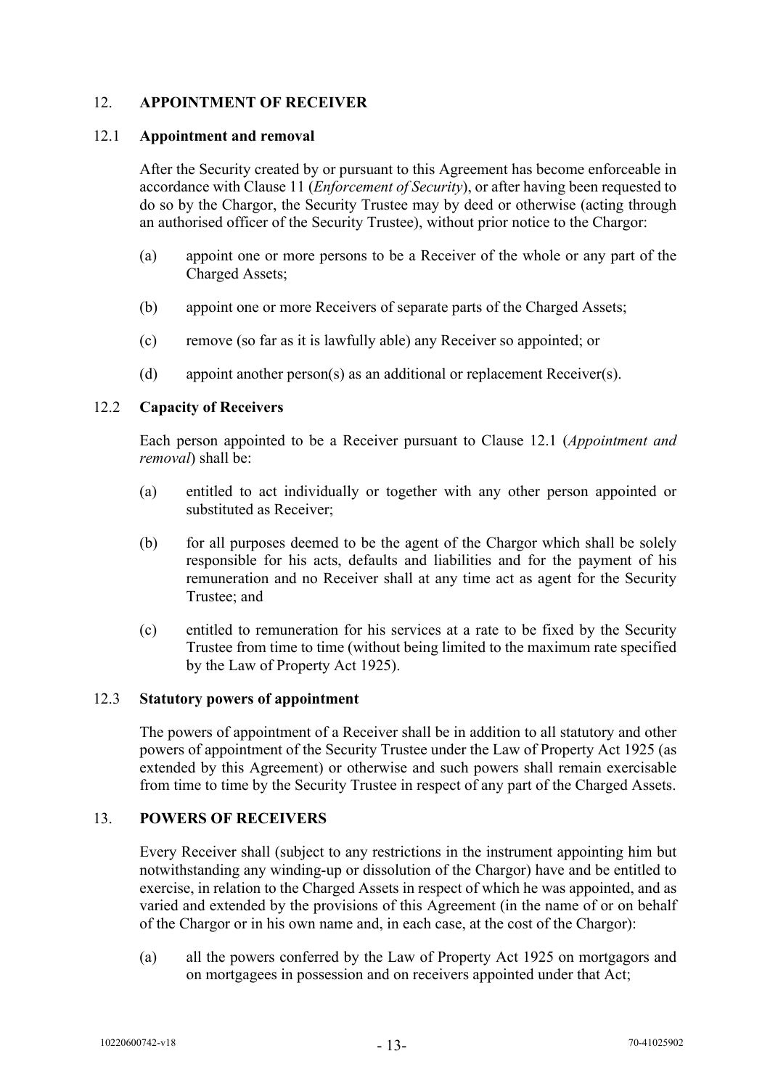## <span id="page-14-0"></span>12. **APPOINTMENT OF RECEIVER**

#### <span id="page-14-2"></span>12.1 **Appointment and removal**

After the Security created by or pursuant to this Agreement has become enforceable in accordance with Clause [11](#page-12-1) (*Enforcement of Security*), or after having been requested to do so by the Chargor, the Security Trustee may by deed or otherwise (acting through an authorised officer of the Security Trustee), without prior notice to the Chargor:

- (a) appoint one or more persons to be a Receiver of the whole or any part of the Charged Assets;
- (b) appoint one or more Receivers of separate parts of the Charged Assets;
- (c) remove (so far as it is lawfully able) any Receiver so appointed; or
- (d) appoint another person(s) as an additional or replacement Receiver(s).

#### 12.2 **Capacity of Receivers**

Each person appointed to be a Receiver pursuant to Clause [12.1](#page-14-2) (*Appointment and removal*) shall be:

- (a) entitled to act individually or together with any other person appointed or substituted as Receiver;
- (b) for all purposes deemed to be the agent of the Chargor which shall be solely responsible for his acts, defaults and liabilities and for the payment of his remuneration and no Receiver shall at any time act as agent for the Security Trustee; and
- (c) entitled to remuneration for his services at a rate to be fixed by the Security Trustee from time to time (without being limited to the maximum rate specified by the Law of Property Act 1925).

#### 12.3 **Statutory powers of appointment**

The powers of appointment of a Receiver shall be in addition to all statutory and other powers of appointment of the Security Trustee under the Law of Property Act 1925 (as extended by this Agreement) or otherwise and such powers shall remain exercisable from time to time by the Security Trustee in respect of any part of the Charged Assets.

#### <span id="page-14-1"></span>13. **POWERS OF RECEIVERS**

Every Receiver shall (subject to any restrictions in the instrument appointing him but notwithstanding any winding-up or dissolution of the Chargor) have and be entitled to exercise, in relation to the Charged Assets in respect of which he was appointed, and as varied and extended by the provisions of this Agreement (in the name of or on behalf of the Chargor or in his own name and, in each case, at the cost of the Chargor):

(a) all the powers conferred by the Law of Property Act 1925 on mortgagors and on mortgagees in possession and on receivers appointed under that Act;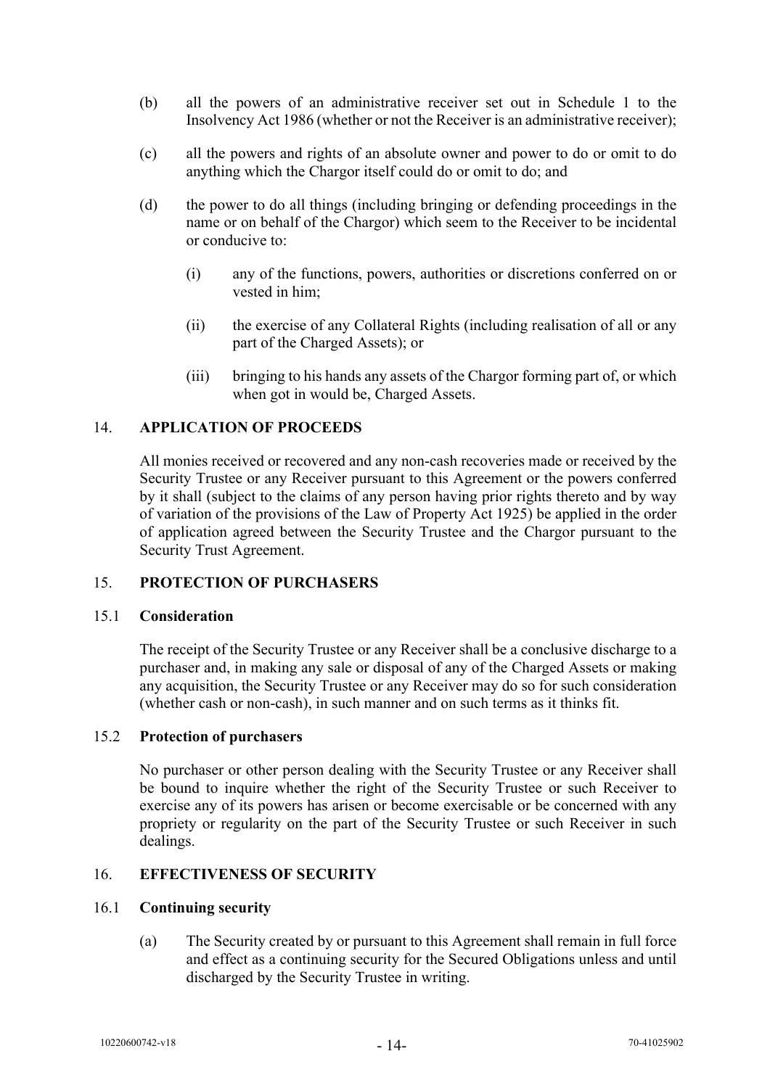- (b) all the powers of an administrative receiver set out in Schedule 1 to the Insolvency Act 1986 (whether or not the Receiver is an administrative receiver);
- (c) all the powers and rights of an absolute owner and power to do or omit to do anything which the Chargor itself could do or omit to do; and
- (d) the power to do all things (including bringing or defending proceedings in the name or on behalf of the Chargor) which seem to the Receiver to be incidental or conducive to:
	- (i) any of the functions, powers, authorities or discretions conferred on or vested in him;
	- (ii) the exercise of any Collateral Rights (including realisation of all or any part of the Charged Assets); or
	- (iii) bringing to his hands any assets of the Chargor forming part of, or which when got in would be, Charged Assets.

## <span id="page-15-0"></span>14. **APPLICATION OF PROCEEDS**

All monies received or recovered and any non-cash recoveries made or received by the Security Trustee or any Receiver pursuant to this Agreement or the powers conferred by it shall (subject to the claims of any person having prior rights thereto and by way of variation of the provisions of the Law of Property Act 1925) be applied in the order of application agreed between the Security Trustee and the Chargor pursuant to the Security Trust Agreement.

#### <span id="page-15-1"></span>15. **PROTECTION OF PURCHASERS**

#### 15.1 **Consideration**

The receipt of the Security Trustee or any Receiver shall be a conclusive discharge to a purchaser and, in making any sale or disposal of any of the Charged Assets or making any acquisition, the Security Trustee or any Receiver may do so for such consideration (whether cash or non-cash), in such manner and on such terms as it thinks fit.

#### 15.2 **Protection of purchasers**

No purchaser or other person dealing with the Security Trustee or any Receiver shall be bound to inquire whether the right of the Security Trustee or such Receiver to exercise any of its powers has arisen or become exercisable or be concerned with any propriety or regularity on the part of the Security Trustee or such Receiver in such dealings.

## <span id="page-15-2"></span>16. **EFFECTIVENESS OF SECURITY**

#### 16.1 **Continuing security**

(a) The Security created by or pursuant to this Agreement shall remain in full force and effect as a continuing security for the Secured Obligations unless and until discharged by the Security Trustee in writing.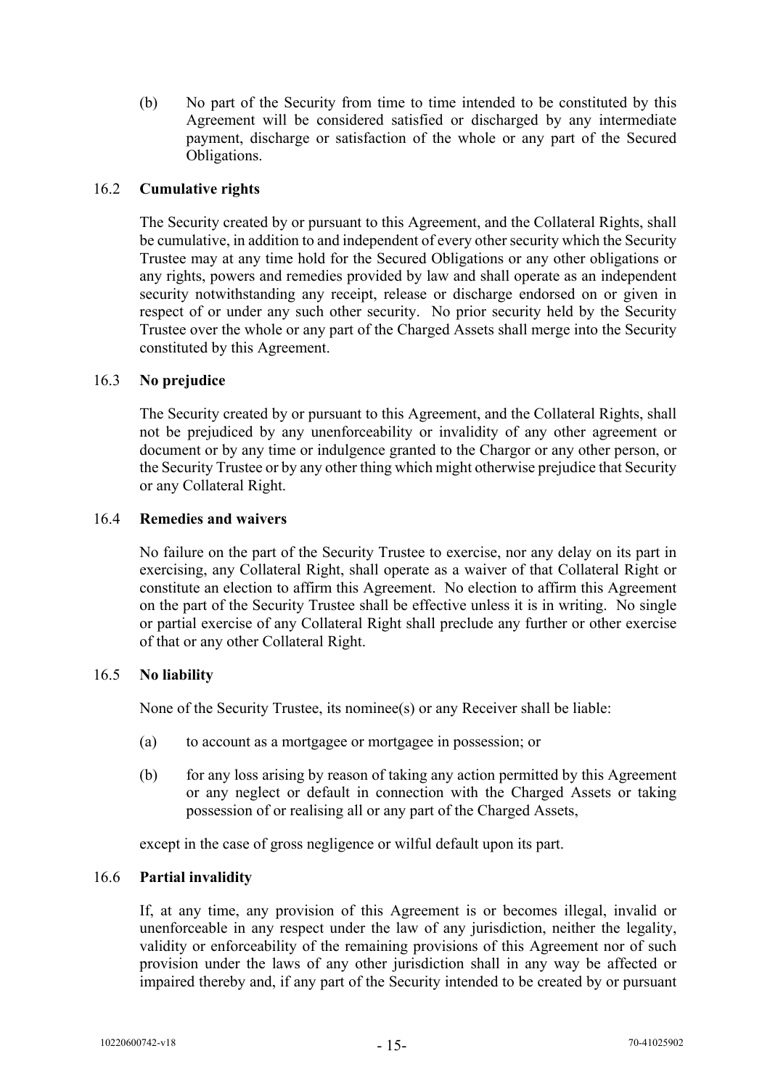(b) No part of the Security from time to time intended to be constituted by this Agreement will be considered satisfied or discharged by any intermediate payment, discharge or satisfaction of the whole or any part of the Secured Obligations.

## 16.2 **Cumulative rights**

The Security created by or pursuant to this Agreement, and the Collateral Rights, shall be cumulative, in addition to and independent of every other security which the Security Trustee may at any time hold for the Secured Obligations or any other obligations or any rights, powers and remedies provided by law and shall operate as an independent security notwithstanding any receipt, release or discharge endorsed on or given in respect of or under any such other security. No prior security held by the Security Trustee over the whole or any part of the Charged Assets shall merge into the Security constituted by this Agreement.

#### 16.3 **No prejudice**

The Security created by or pursuant to this Agreement, and the Collateral Rights, shall not be prejudiced by any unenforceability or invalidity of any other agreement or document or by any time or indulgence granted to the Chargor or any other person, or the Security Trustee or by any other thing which might otherwise prejudice that Security or any Collateral Right.

#### 16.4 **Remedies and waivers**

No failure on the part of the Security Trustee to exercise, nor any delay on its part in exercising, any Collateral Right, shall operate as a waiver of that Collateral Right or constitute an election to affirm this Agreement. No election to affirm this Agreement on the part of the Security Trustee shall be effective unless it is in writing. No single or partial exercise of any Collateral Right shall preclude any further or other exercise of that or any other Collateral Right.

#### 16.5 **No liability**

None of the Security Trustee, its nominee(s) or any Receiver shall be liable:

- (a) to account as a mortgagee or mortgagee in possession; or
- (b) for any loss arising by reason of taking any action permitted by this Agreement or any neglect or default in connection with the Charged Assets or taking possession of or realising all or any part of the Charged Assets,

except in the case of gross negligence or wilful default upon its part.

#### 16.6 **Partial invalidity**

If, at any time, any provision of this Agreement is or becomes illegal, invalid or unenforceable in any respect under the law of any jurisdiction, neither the legality, validity or enforceability of the remaining provisions of this Agreement nor of such provision under the laws of any other jurisdiction shall in any way be affected or impaired thereby and, if any part of the Security intended to be created by or pursuant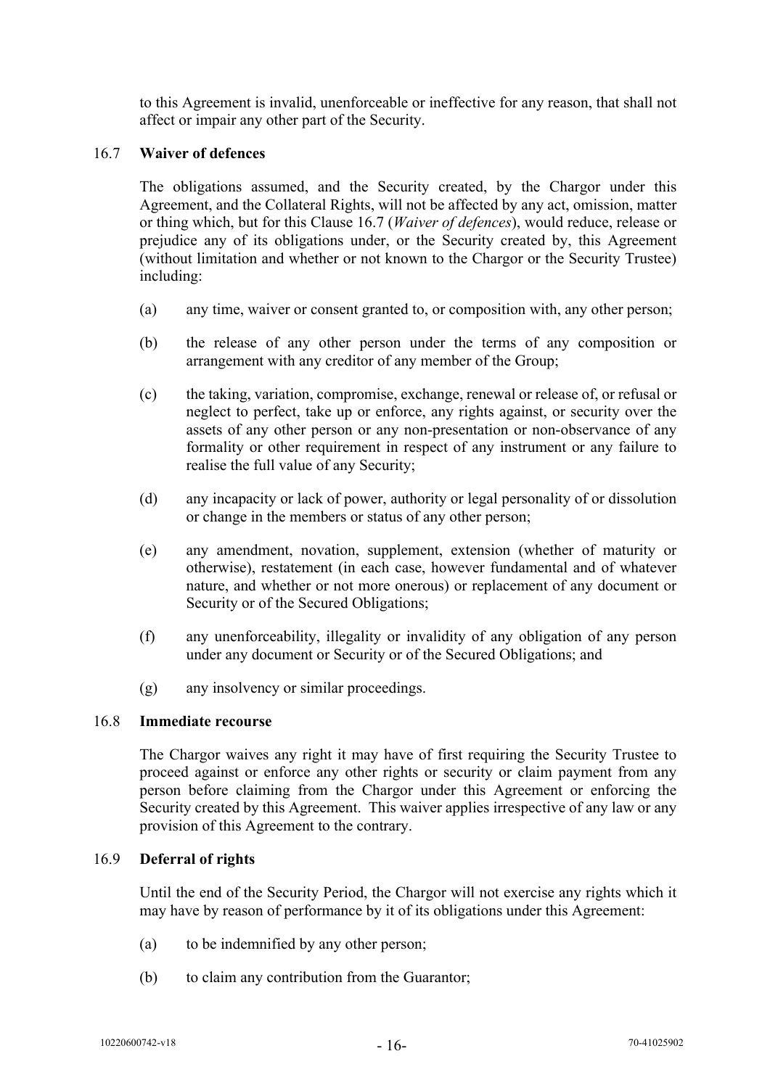to this Agreement is invalid, unenforceable or ineffective for any reason, that shall not affect or impair any other part of the Security.

#### <span id="page-17-0"></span>16.7 **Waiver of defences**

The obligations assumed, and the Security created, by the Chargor under this Agreement, and the Collateral Rights, will not be affected by any act, omission, matter or thing which, but for this Clause [16.7](#page-17-0) (*Waiver of defences*), would reduce, release or prejudice any of its obligations under, or the Security created by, this Agreement (without limitation and whether or not known to the Chargor or the Security Trustee) including:

- (a) any time, waiver or consent granted to, or composition with, any other person;
- (b) the release of any other person under the terms of any composition or arrangement with any creditor of any member of the Group;
- (c) the taking, variation, compromise, exchange, renewal or release of, or refusal or neglect to perfect, take up or enforce, any rights against, or security over the assets of any other person or any non-presentation or non-observance of any formality or other requirement in respect of any instrument or any failure to realise the full value of any Security;
- (d) any incapacity or lack of power, authority or legal personality of or dissolution or change in the members or status of any other person;
- (e) any amendment, novation, supplement, extension (whether of maturity or otherwise), restatement (in each case, however fundamental and of whatever nature, and whether or not more onerous) or replacement of any document or Security or of the Secured Obligations;
- (f) any unenforceability, illegality or invalidity of any obligation of any person under any document or Security or of the Secured Obligations; and
- (g) any insolvency or similar proceedings.

#### 16.8 **Immediate recourse**

The Chargor waives any right it may have of first requiring the Security Trustee to proceed against or enforce any other rights or security or claim payment from any person before claiming from the Chargor under this Agreement or enforcing the Security created by this Agreement. This waiver applies irrespective of any law or any provision of this Agreement to the contrary.

#### 16.9 **Deferral of rights**

Until the end of the Security Period, the Chargor will not exercise any rights which it may have by reason of performance by it of its obligations under this Agreement:

- (a) to be indemnified by any other person;
- (b) to claim any contribution from the Guarantor;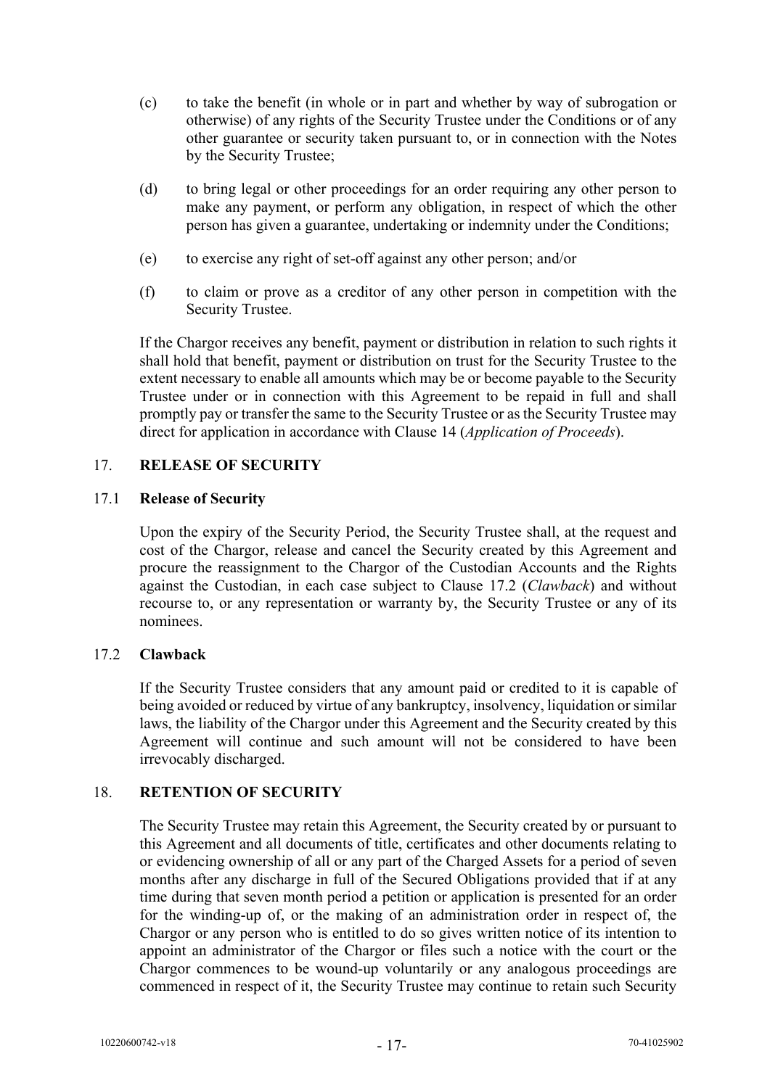- (c) to take the benefit (in whole or in part and whether by way of subrogation or otherwise) of any rights of the Security Trustee under the Conditions or of any other guarantee or security taken pursuant to, or in connection with the Notes by the Security Trustee;
- (d) to bring legal or other proceedings for an order requiring any other person to make any payment, or perform any obligation, in respect of which the other person has given a guarantee, undertaking or indemnity under the Conditions;
- (e) to exercise any right of set-off against any other person; and/or
- (f) to claim or prove as a creditor of any other person in competition with the Security Trustee.

If the Chargor receives any benefit, payment or distribution in relation to such rights it shall hold that benefit, payment or distribution on trust for the Security Trustee to the extent necessary to enable all amounts which may be or become payable to the Security Trustee under or in connection with this Agreement to be repaid in full and shall promptly pay or transfer the same to the Security Trustee or as the Security Trustee may direct for application in accordance with Clause [14](#page-15-0) (*Application of Proceeds*).

#### <span id="page-18-0"></span>17. **RELEASE OF SECURITY**

#### 17.1 **Release of Security**

Upon the expiry of the Security Period, the Security Trustee shall, at the request and cost of the Chargor, release and cancel the Security created by this Agreement and procure the reassignment to the Chargor of the Custodian Accounts and the Rights against the Custodian, in each case subject to Clause [17.2](#page-18-2) (*Clawback*) and without recourse to, or any representation or warranty by, the Security Trustee or any of its nominees.

#### <span id="page-18-2"></span>17.2 **Clawback**

If the Security Trustee considers that any amount paid or credited to it is capable of being avoided or reduced by virtue of any bankruptcy, insolvency, liquidation or similar laws, the liability of the Chargor under this Agreement and the Security created by this Agreement will continue and such amount will not be considered to have been irrevocably discharged.

## <span id="page-18-1"></span>18. **RETENTION OF SECURITY**

The Security Trustee may retain this Agreement, the Security created by or pursuant to this Agreement and all documents of title, certificates and other documents relating to or evidencing ownership of all or any part of the Charged Assets for a period of seven months after any discharge in full of the Secured Obligations provided that if at any time during that seven month period a petition or application is presented for an order for the winding-up of, or the making of an administration order in respect of, the Chargor or any person who is entitled to do so gives written notice of its intention to appoint an administrator of the Chargor or files such a notice with the court or the Chargor commences to be wound-up voluntarily or any analogous proceedings are commenced in respect of it, the Security Trustee may continue to retain such Security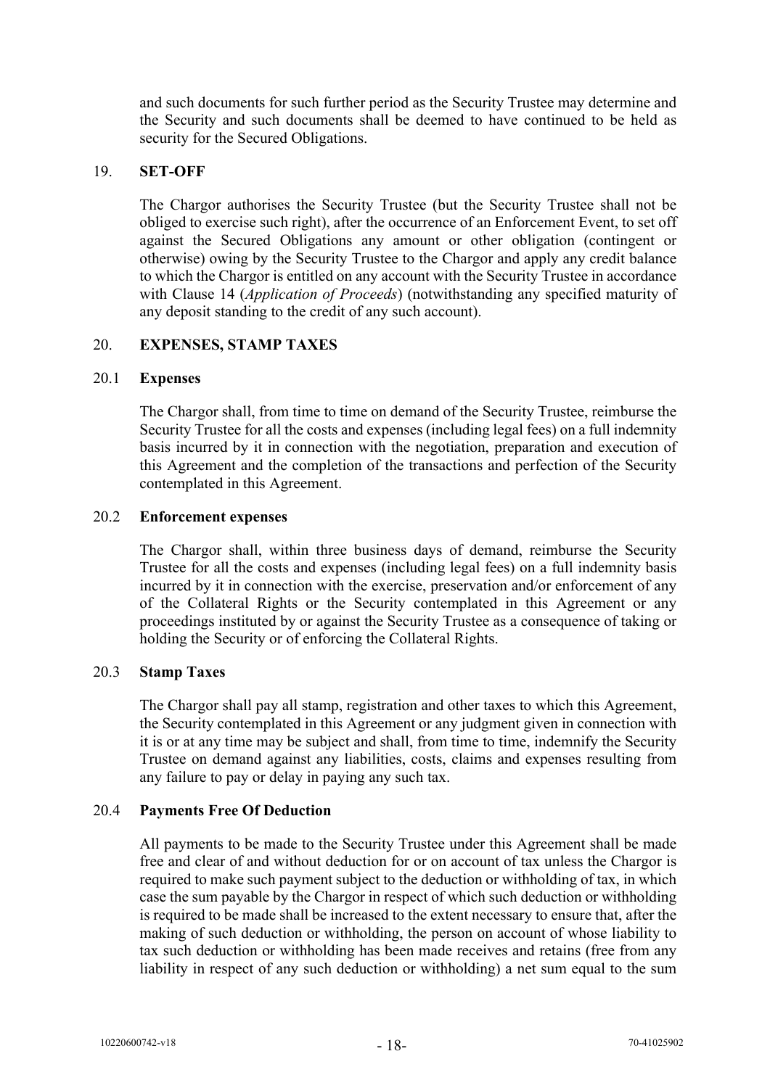and such documents for such further period as the Security Trustee may determine and the Security and such documents shall be deemed to have continued to be held as security for the Secured Obligations.

#### <span id="page-19-0"></span>19. **SET-OFF**

The Chargor authorises the Security Trustee (but the Security Trustee shall not be obliged to exercise such right), after the occurrence of an Enforcement Event, to set off against the Secured Obligations any amount or other obligation (contingent or otherwise) owing by the Security Trustee to the Chargor and apply any credit balance to which the Chargor is entitled on any account with the Security Trustee in accordance with Clause [14](#page-15-0) (*Application of Proceeds*) (notwithstanding any specified maturity of any deposit standing to the credit of any such account).

## <span id="page-19-1"></span>20. **EXPENSES, STAMP TAXES**

#### 20.1 **Expenses**

The Chargor shall, from time to time on demand of the Security Trustee, reimburse the Security Trustee for all the costs and expenses (including legal fees) on a full indemnity basis incurred by it in connection with the negotiation, preparation and execution of this Agreement and the completion of the transactions and perfection of the Security contemplated in this Agreement.

#### 20.2 **Enforcement expenses**

The Chargor shall, within three business days of demand, reimburse the Security Trustee for all the costs and expenses (including legal fees) on a full indemnity basis incurred by it in connection with the exercise, preservation and/or enforcement of any of the Collateral Rights or the Security contemplated in this Agreement or any proceedings instituted by or against the Security Trustee as a consequence of taking or holding the Security or of enforcing the Collateral Rights.

#### 20.3 **Stamp Taxes**

The Chargor shall pay all stamp, registration and other taxes to which this Agreement, the Security contemplated in this Agreement or any judgment given in connection with it is or at any time may be subject and shall, from time to time, indemnify the Security Trustee on demand against any liabilities, costs, claims and expenses resulting from any failure to pay or delay in paying any such tax.

#### 20.4 **Payments Free Of Deduction**

All payments to be made to the Security Trustee under this Agreement shall be made free and clear of and without deduction for or on account of tax unless the Chargor is required to make such payment subject to the deduction or withholding of tax, in which case the sum payable by the Chargor in respect of which such deduction or withholding is required to be made shall be increased to the extent necessary to ensure that, after the making of such deduction or withholding, the person on account of whose liability to tax such deduction or withholding has been made receives and retains (free from any liability in respect of any such deduction or withholding) a net sum equal to the sum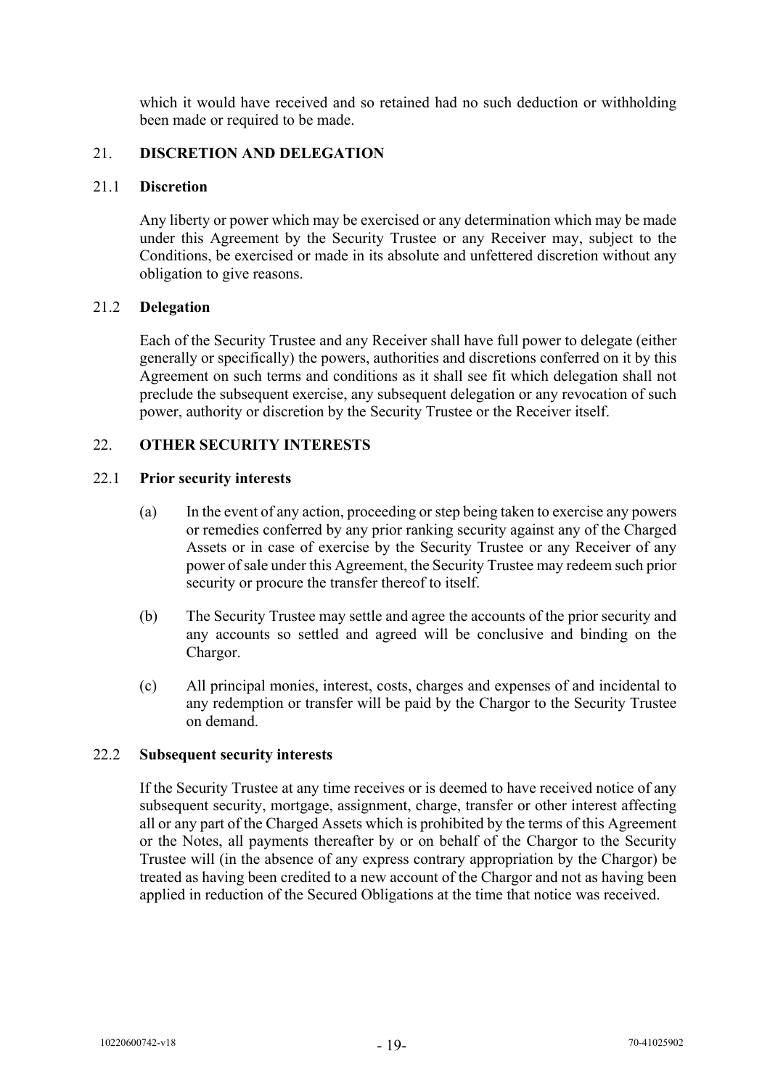which it would have received and so retained had no such deduction or withholding been made or required to be made.

## <span id="page-20-0"></span>21. **DISCRETION AND DELEGATION**

#### 21.1 **Discretion**

Any liberty or power which may be exercised or any determination which may be made under this Agreement by the Security Trustee or any Receiver may, subject to the Conditions, be exercised or made in its absolute and unfettered discretion without any obligation to give reasons.

#### 21.2 **Delegation**

Each of the Security Trustee and any Receiver shall have full power to delegate (either generally or specifically) the powers, authorities and discretions conferred on it by this Agreement on such terms and conditions as it shall see fit which delegation shall not preclude the subsequent exercise, any subsequent delegation or any revocation of such power, authority or discretion by the Security Trustee or the Receiver itself.

## <span id="page-20-1"></span>22. **OTHER SECURITY INTERESTS**

#### 22.1 **Prior security interests**

- (a) In the event of any action, proceeding or step being taken to exercise any powers or remedies conferred by any prior ranking security against any of the Charged Assets or in case of exercise by the Security Trustee or any Receiver of any power of sale under this Agreement, the Security Trustee may redeem such prior security or procure the transfer thereof to itself.
- (b) The Security Trustee may settle and agree the accounts of the prior security and any accounts so settled and agreed will be conclusive and binding on the Chargor.
- (c) All principal monies, interest, costs, charges and expenses of and incidental to any redemption or transfer will be paid by the Chargor to the Security Trustee on demand.

#### 22.2 **Subsequent security interests**

If the Security Trustee at any time receives or is deemed to have received notice of any subsequent security, mortgage, assignment, charge, transfer or other interest affecting all or any part of the Charged Assets which is prohibited by the terms of this Agreement or the Notes, all payments thereafter by or on behalf of the Chargor to the Security Trustee will (in the absence of any express contrary appropriation by the Chargor) be treated as having been credited to a new account of the Chargor and not as having been applied in reduction of the Secured Obligations at the time that notice was received.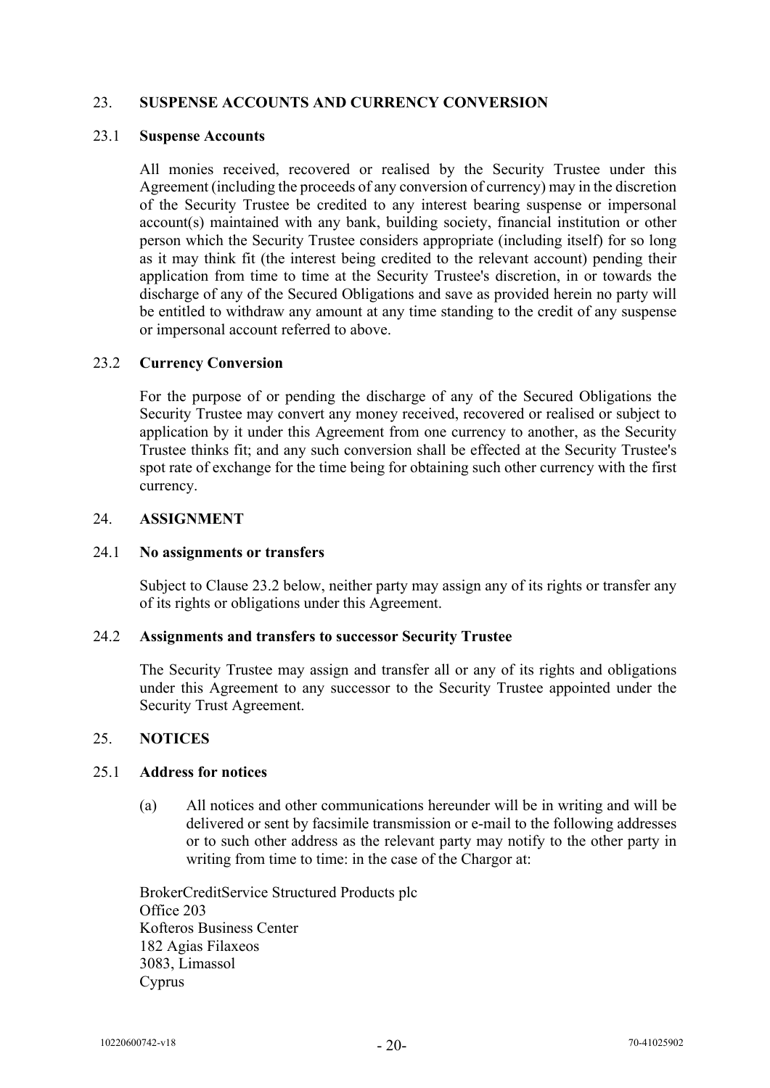## <span id="page-21-0"></span>23. **SUSPENSE ACCOUNTS AND CURRENCY CONVERSION**

#### 23.1 **Suspense Accounts**

All monies received, recovered or realised by the Security Trustee under this Agreement (including the proceeds of any conversion of currency) may in the discretion of the Security Trustee be credited to any interest bearing suspense or impersonal account(s) maintained with any bank, building society, financial institution or other person which the Security Trustee considers appropriate (including itself) for so long as it may think fit (the interest being credited to the relevant account) pending their application from time to time at the Security Trustee's discretion, in or towards the discharge of any of the Secured Obligations and save as provided herein no party will be entitled to withdraw any amount at any time standing to the credit of any suspense or impersonal account referred to above.

#### 23.2 **Currency Conversion**

For the purpose of or pending the discharge of any of the Secured Obligations the Security Trustee may convert any money received, recovered or realised or subject to application by it under this Agreement from one currency to another, as the Security Trustee thinks fit; and any such conversion shall be effected at the Security Trustee's spot rate of exchange for the time being for obtaining such other currency with the first currency.

#### <span id="page-21-1"></span>24. **ASSIGNMENT**

#### 24.1 **No assignments or transfers**

Subject to Clause 23.2 below, neither party may assign any of its rights or transfer any of its rights or obligations under this Agreement.

#### 24.2 **Assignments and transfers to successor Security Trustee**

The Security Trustee may assign and transfer all or any of its rights and obligations under this Agreement to any successor to the Security Trustee appointed under the Security Trust Agreement.

#### <span id="page-21-2"></span>25. **NOTICES**

#### 25.1 **Address for notices**

(a) All notices and other communications hereunder will be in writing and will be delivered or sent by facsimile transmission or e-mail to the following addresses or to such other address as the relevant party may notify to the other party in writing from time to time: in the case of the Chargor at:

BrokerCreditService Structured Products plc Office 203 Kofteros Business Center 182 Agias Filaxeos 3083, Limassol Cyprus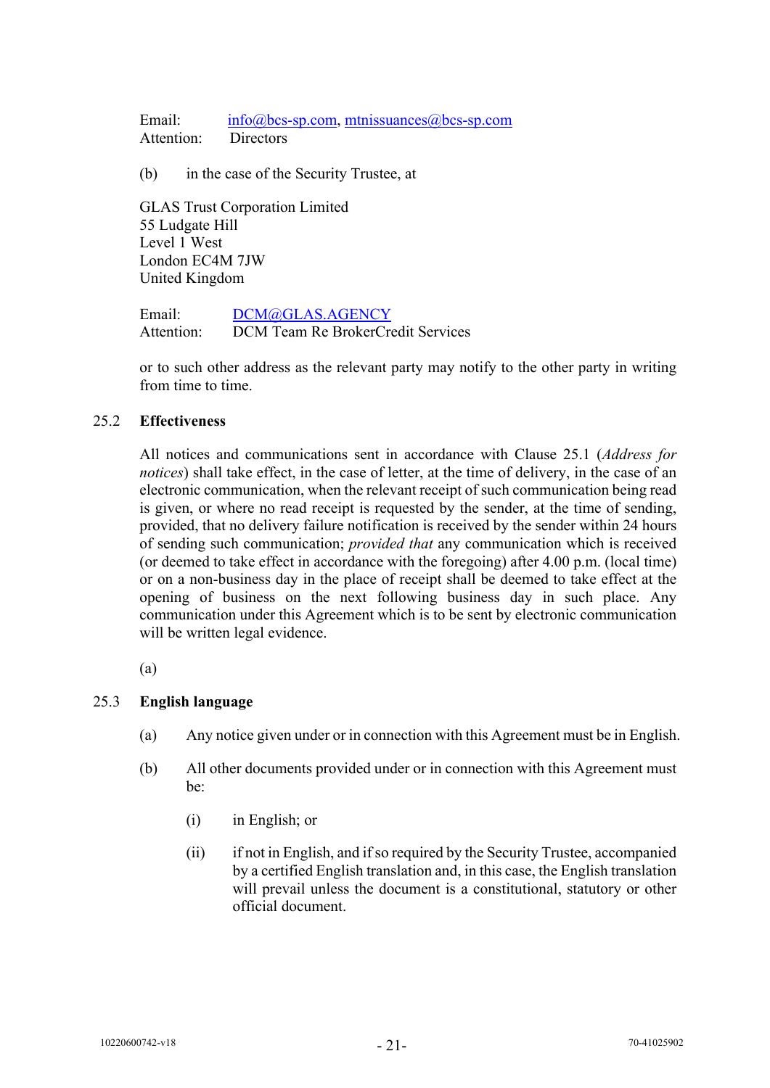Email: [info@bcs-sp.com,](mailto:info@bcs-sp.com) [mtnissuances@bcs-sp.com](mailto:mtnissuances@bcs-sp.com) Attention: Directors

(b) in the case of the Security Trustee, at

GLAS Trust Corporation Limited 55 Ludgate Hill Level 1 West London EC4M 7JW United Kingdom

Email: [DCM@GLAS.AGENCY](mailto:DCM@glas.agency) Attention: DCM Team Re BrokerCredit Services

or to such other address as the relevant party may notify to the other party in writing from time to time.

## 25.2 **Effectiveness**

All notices and communications sent in accordance with Clause 25.1 (*Address for notices*) shall take effect, in the case of letter, at the time of delivery, in the case of an electronic communication, when the relevant receipt of such communication being read is given, or where no read receipt is requested by the sender, at the time of sending, provided, that no delivery failure notification is received by the sender within 24 hours of sending such communication; *provided that* any communication which is received (or deemed to take effect in accordance with the foregoing) after 4.00 p.m. (local time) or on a non-business day in the place of receipt shall be deemed to take effect at the opening of business on the next following business day in such place. Any communication under this Agreement which is to be sent by electronic communication will be written legal evidence.

(a)

## 25.3 **English language**

- (a) Any notice given under or in connection with this Agreement must be in English.
- (b) All other documents provided under or in connection with this Agreement must be:
	- (i) in English; or
	- (ii) if not in English, and if so required by the Security Trustee, accompanied by a certified English translation and, in this case, the English translation will prevail unless the document is a constitutional, statutory or other official document.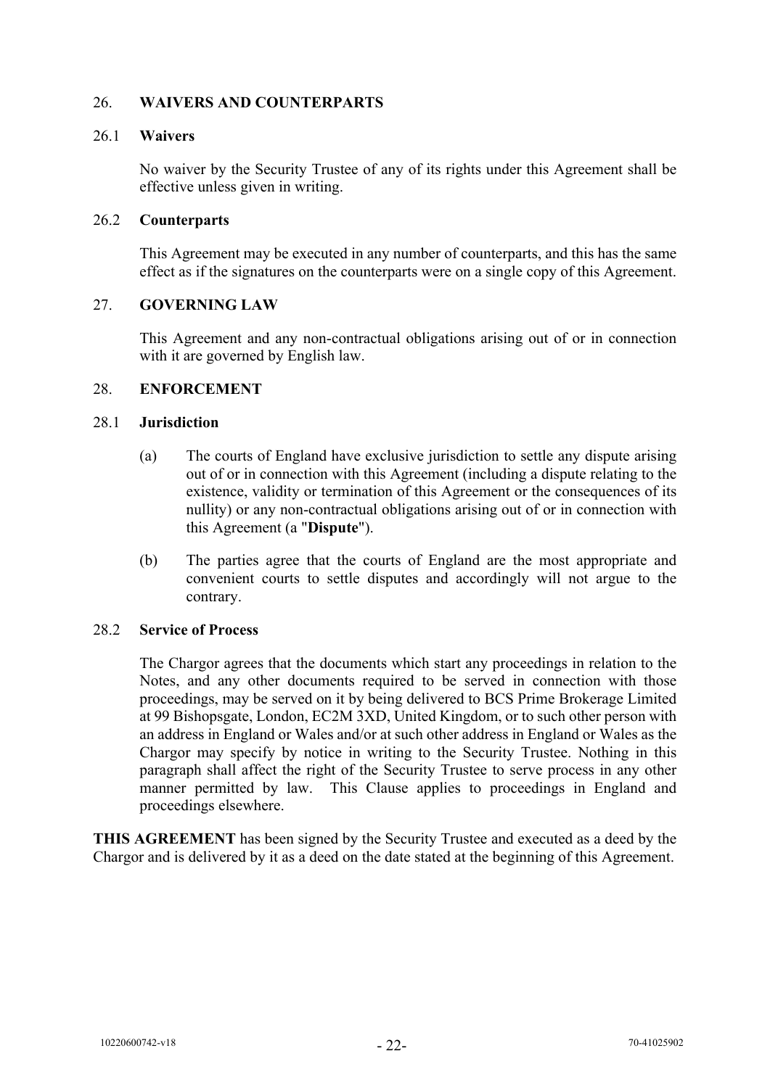## <span id="page-23-0"></span>26. **WAIVERS AND COUNTERPARTS**

#### 26.1 **Waivers**

No waiver by the Security Trustee of any of its rights under this Agreement shall be effective unless given in writing.

### 26.2 **Counterparts**

This Agreement may be executed in any number of counterparts, and this has the same effect as if the signatures on the counterparts were on a single copy of this Agreement.

## <span id="page-23-1"></span>27. **GOVERNING LAW**

This Agreement and any non-contractual obligations arising out of or in connection with it are governed by English law.

#### <span id="page-23-2"></span>28. **ENFORCEMENT**

#### 28.1 **Jurisdiction**

- (a) The courts of England have exclusive jurisdiction to settle any dispute arising out of or in connection with this Agreement (including a dispute relating to the existence, validity or termination of this Agreement or the consequences of its nullity) or any non-contractual obligations arising out of or in connection with this Agreement (a "**Dispute**").
- (b) The parties agree that the courts of England are the most appropriate and convenient courts to settle disputes and accordingly will not argue to the contrary.

#### 28.2 **Service of Process**

The Chargor agrees that the documents which start any proceedings in relation to the Notes, and any other documents required to be served in connection with those proceedings, may be served on it by being delivered to BCS Prime Brokerage Limited at 99 Bishopsgate, London, EC2M 3XD, United Kingdom, or to such other person with an address in England or Wales and/or at such other address in England or Wales as the Chargor may specify by notice in writing to the Security Trustee. Nothing in this paragraph shall affect the right of the Security Trustee to serve process in any other manner permitted by law. This Clause applies to proceedings in England and proceedings elsewhere.

**THIS AGREEMENT** has been signed by the Security Trustee and executed as a deed by the Chargor and is delivered by it as a deed on the date stated at the beginning of this Agreement.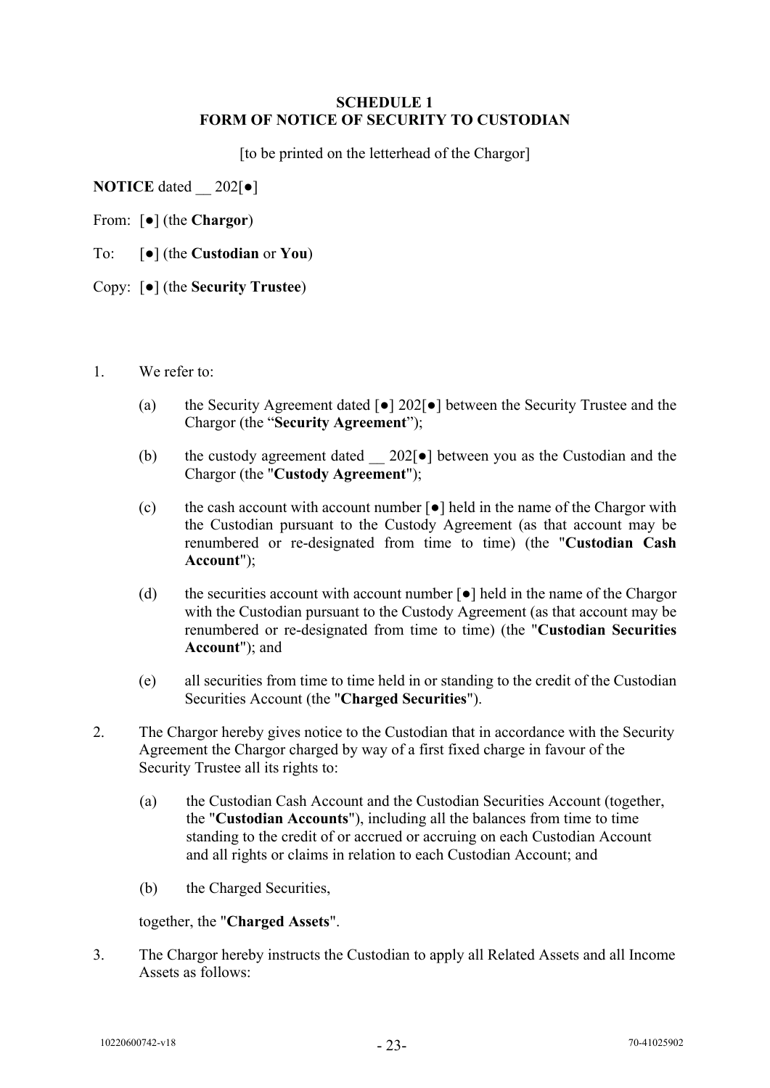#### <span id="page-24-1"></span>**SCHEDULE 1 FORM OF NOTICE OF SECURITY TO CUSTODIAN**

<span id="page-24-0"></span>[to be printed on the letterhead of the Chargor]

**NOTICE** dated  $202$ [ $\bullet$ ]

From: [●] (the **Chargor**)

To: [●] (the **Custodian** or **You**)

Copy: [●] (the **Security Trustee**)

- 1. We refer to:
	- (a) the Security Agreement dated [●] 202[●] between the Security Trustee and the Chargor (the "**Security Agreement**");
	- (b) the custody agreement dated  $202[\bullet]$  between you as the Custodian and the Chargor (the "**Custody Agreement**");
	- (c) the cash account with account number  $\lceil \bullet \rceil$  held in the name of the Chargor with the Custodian pursuant to the Custody Agreement (as that account may be renumbered or re-designated from time to time) (the "**Custodian Cash Account**");
	- (d) the securities account with account number  $\lceil \bullet \rceil$  held in the name of the Chargor with the Custodian pursuant to the Custody Agreement (as that account may be renumbered or re-designated from time to time) (the "**Custodian Securities Account**"); and
	- (e) all securities from time to time held in or standing to the credit of the Custodian Securities Account (the "**Charged Securities**").
- 2. The Chargor hereby gives notice to the Custodian that in accordance with the Security Agreement the Chargor charged by way of a first fixed charge in favour of the Security Trustee all its rights to:
	- (a) the Custodian Cash Account and the Custodian Securities Account (together, the "**Custodian Accounts**"), including all the balances from time to time standing to the credit of or accrued or accruing on each Custodian Account and all rights or claims in relation to each Custodian Account; and
	- (b) the Charged Securities,

together, the "**Charged Assets**".

3. The Chargor hereby instructs the Custodian to apply all Related Assets and all Income Assets as follows: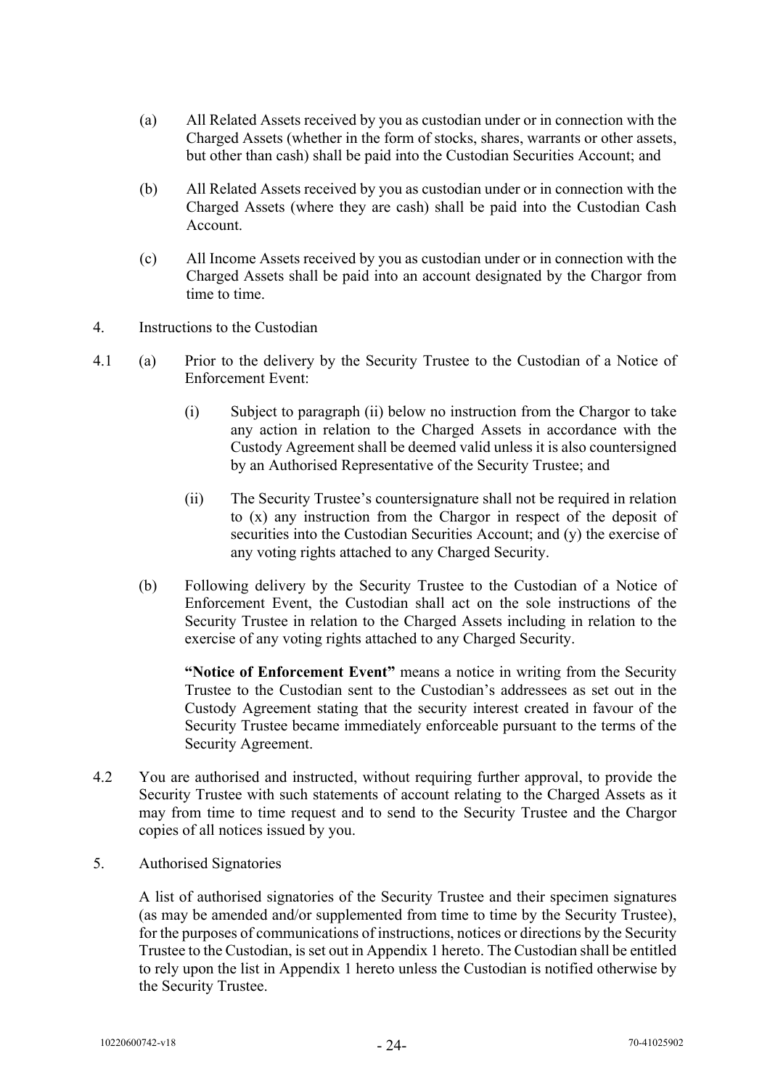- (a) All Related Assets received by you as custodian under or in connection with the Charged Assets (whether in the form of stocks, shares, warrants or other assets, but other than cash) shall be paid into the Custodian Securities Account; and
- (b) All Related Assets received by you as custodian under or in connection with the Charged Assets (where they are cash) shall be paid into the Custodian Cash Account.
- (c) All Income Assets received by you as custodian under or in connection with the Charged Assets shall be paid into an account designated by the Chargor from time to time.
- 4. Instructions to the Custodian
- 4.1 (a) Prior to the delivery by the Security Trustee to the Custodian of a Notice of Enforcement Event:
	- (i) Subject to paragraph (ii) below no instruction from the Chargor to take any action in relation to the Charged Assets in accordance with the Custody Agreement shall be deemed valid unless it is also countersigned by an Authorised Representative of the Security Trustee; and
	- (ii) The Security Trustee's countersignature shall not be required in relation to (x) any instruction from the Chargor in respect of the deposit of securities into the Custodian Securities Account; and (y) the exercise of any voting rights attached to any Charged Security.
	- (b) Following delivery by the Security Trustee to the Custodian of a Notice of Enforcement Event, the Custodian shall act on the sole instructions of the Security Trustee in relation to the Charged Assets including in relation to the exercise of any voting rights attached to any Charged Security.

**"Notice of Enforcement Event"** means a notice in writing from the Security Trustee to the Custodian sent to the Custodian's addressees as set out in the Custody Agreement stating that the security interest created in favour of the Security Trustee became immediately enforceable pursuant to the terms of the Security Agreement.

- 4.2 You are authorised and instructed, without requiring further approval, to provide the Security Trustee with such statements of account relating to the Charged Assets as it may from time to time request and to send to the Security Trustee and the Chargor copies of all notices issued by you.
- 5. Authorised Signatories

A list of authorised signatories of the Security Trustee and their specimen signatures (as may be amended and/or supplemented from time to time by the Security Trustee), for the purposes of communications of instructions, notices or directions by the Security Trustee to the Custodian, is set out in Appendix 1 hereto. The Custodian shall be entitled to rely upon the list in Appendix 1 hereto unless the Custodian is notified otherwise by the Security Trustee.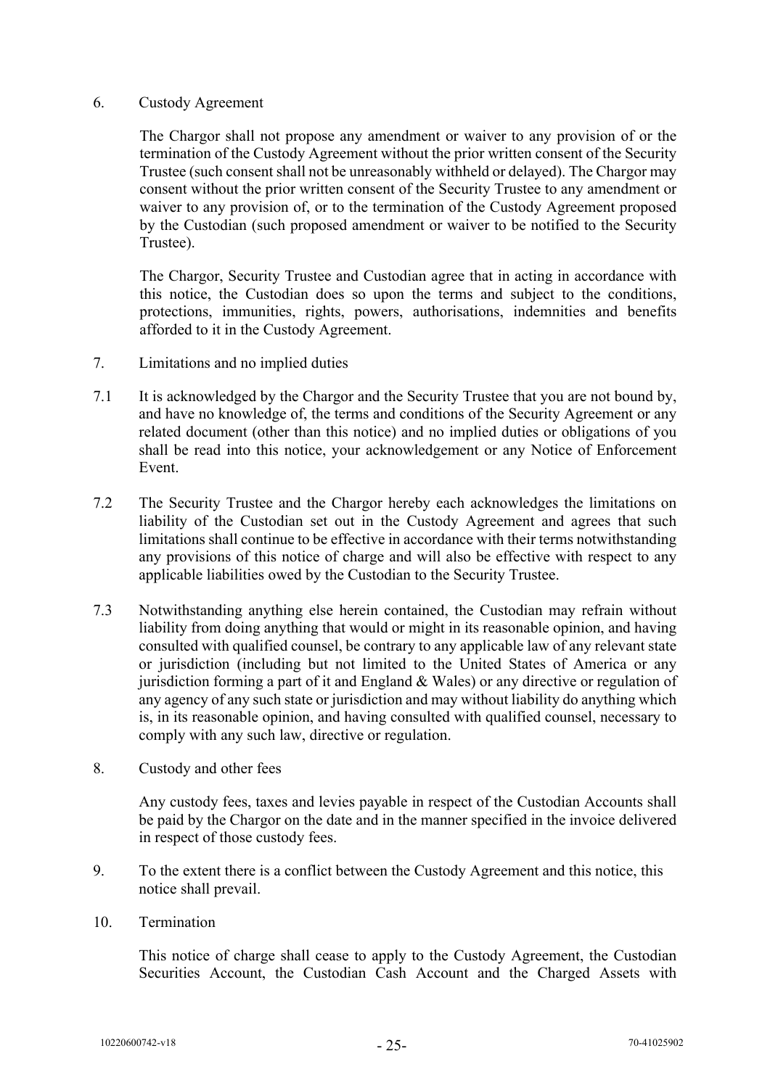#### 6. Custody Agreement

The Chargor shall not propose any amendment or waiver to any provision of or the termination of the Custody Agreement without the prior written consent of the Security Trustee (such consent shall not be unreasonably withheld or delayed). The Chargor may consent without the prior written consent of the Security Trustee to any amendment or waiver to any provision of, or to the termination of the Custody Agreement proposed by the Custodian (such proposed amendment or waiver to be notified to the Security Trustee).

The Chargor, Security Trustee and Custodian agree that in acting in accordance with this notice, the Custodian does so upon the terms and subject to the conditions, protections, immunities, rights, powers, authorisations, indemnities and benefits afforded to it in the Custody Agreement.

- 7. Limitations and no implied duties
- 7.1 It is acknowledged by the Chargor and the Security Trustee that you are not bound by, and have no knowledge of, the terms and conditions of the Security Agreement or any related document (other than this notice) and no implied duties or obligations of you shall be read into this notice, your acknowledgement or any Notice of Enforcement Event.
- 7.2 The Security Trustee and the Chargor hereby each acknowledges the limitations on liability of the Custodian set out in the Custody Agreement and agrees that such limitations shall continue to be effective in accordance with their terms notwithstanding any provisions of this notice of charge and will also be effective with respect to any applicable liabilities owed by the Custodian to the Security Trustee.
- 7.3 Notwithstanding anything else herein contained, the Custodian may refrain without liability from doing anything that would or might in its reasonable opinion, and having consulted with qualified counsel, be contrary to any applicable law of any relevant state or jurisdiction (including but not limited to the United States of America or any jurisdiction forming a part of it and England & Wales) or any directive or regulation of any agency of any such state or jurisdiction and may without liability do anything which is, in its reasonable opinion, and having consulted with qualified counsel, necessary to comply with any such law, directive or regulation.
- 8. Custody and other fees

Any custody fees, taxes and levies payable in respect of the Custodian Accounts shall be paid by the Chargor on the date and in the manner specified in the invoice delivered in respect of those custody fees.

- 9. To the extent there is a conflict between the Custody Agreement and this notice, this notice shall prevail.
- 10. Termination

This notice of charge shall cease to apply to the Custody Agreement, the Custodian Securities Account, the Custodian Cash Account and the Charged Assets with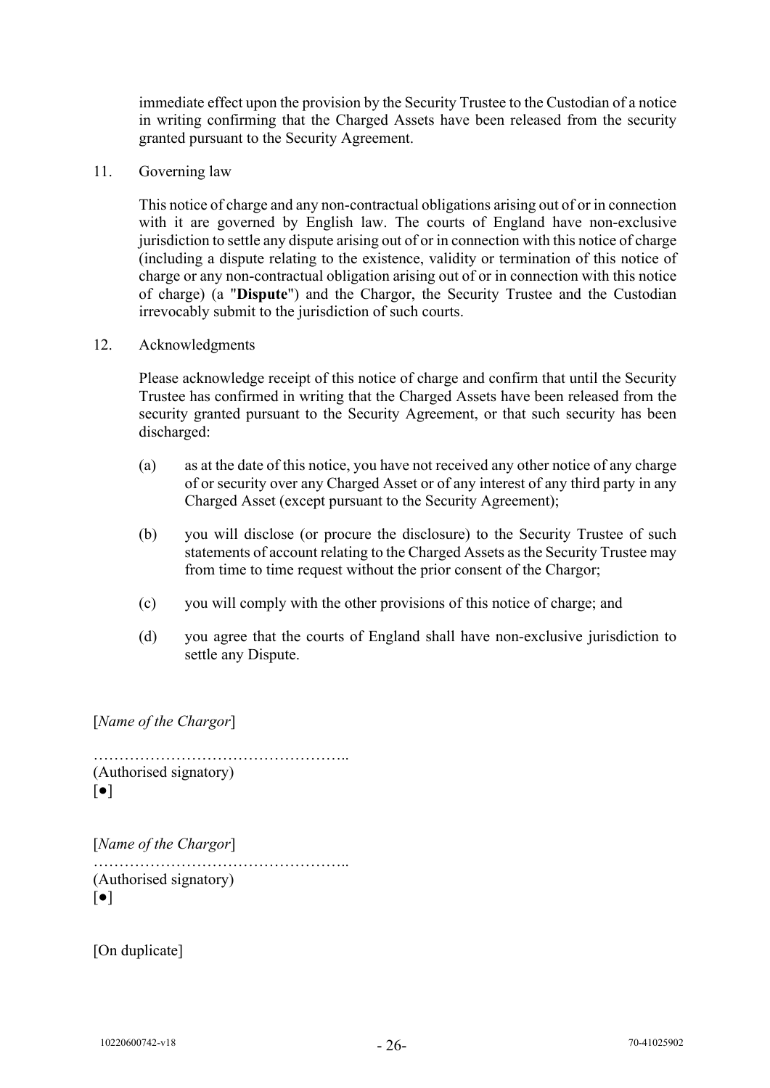immediate effect upon the provision by the Security Trustee to the Custodian of a notice in writing confirming that the Charged Assets have been released from the security granted pursuant to the Security Agreement.

11. Governing law

This notice of charge and any non-contractual obligations arising out of or in connection with it are governed by English law. The courts of England have non-exclusive jurisdiction to settle any dispute arising out of or in connection with this notice of charge (including a dispute relating to the existence, validity or termination of this notice of charge or any non-contractual obligation arising out of or in connection with this notice of charge) (a "**Dispute**") and the Chargor, the Security Trustee and the Custodian irrevocably submit to the jurisdiction of such courts.

<span id="page-27-0"></span>12. Acknowledgments

Please acknowledge receipt of this notice of charge and confirm that until the Security Trustee has confirmed in writing that the Charged Assets have been released from the security granted pursuant to the Security Agreement, or that such security has been discharged:

- (a) as at the date of this notice, you have not received any other notice of any charge of or security over any Charged Asset or of any interest of any third party in any Charged Asset (except pursuant to the Security Agreement);
- (b) you will disclose (or procure the disclosure) to the Security Trustee of such statements of account relating to the Charged Assets as the Security Trustee may from time to time request without the prior consent of the Chargor;
- (c) you will comply with the other provisions of this notice of charge; and
- (d) you agree that the courts of England shall have non-exclusive jurisdiction to settle any Dispute.

[*Name of the Chargor*]

………………………………………….. (Authorised signatory) [●]

```
[Name of the Chargor]
…………………………………………..
(Authorised signatory)
\lceil \bullet \rceil
```
[On duplicate]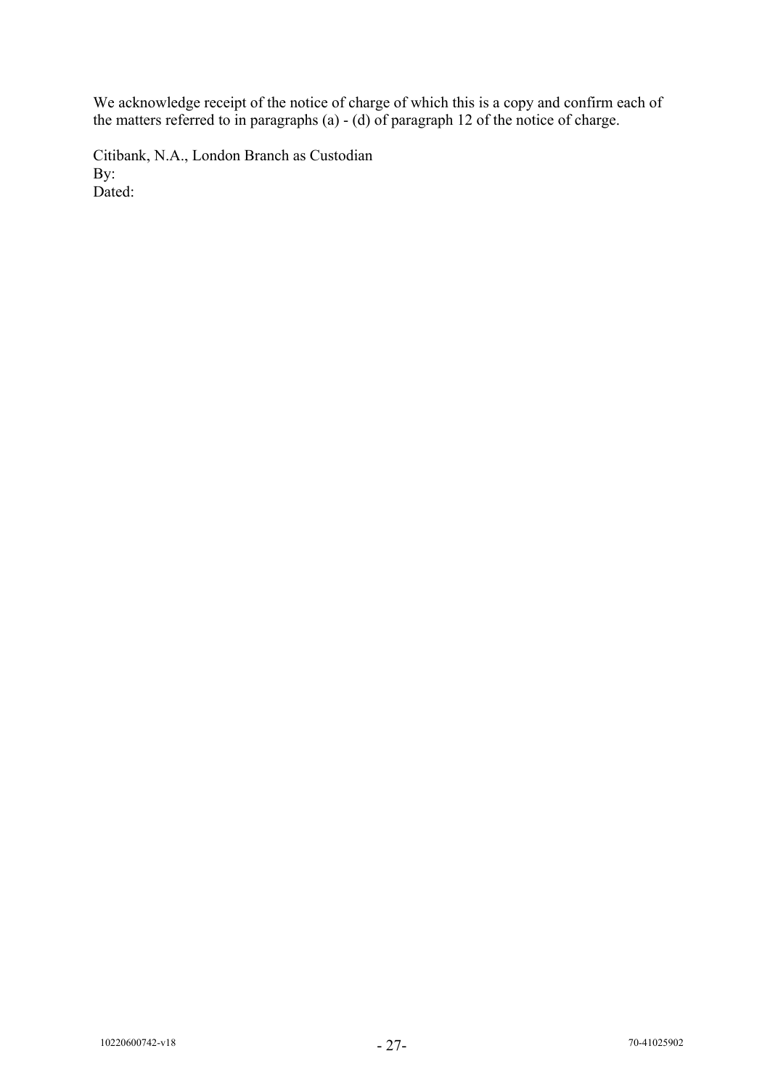We acknowledge receipt of the notice of charge of which this is a copy and confirm each of the matters referred to in paragraphs (a) - (d) of paragraph [12](#page-27-0) of the notice of charge.

Citibank, N.A., London Branch as Custodian By: Dated: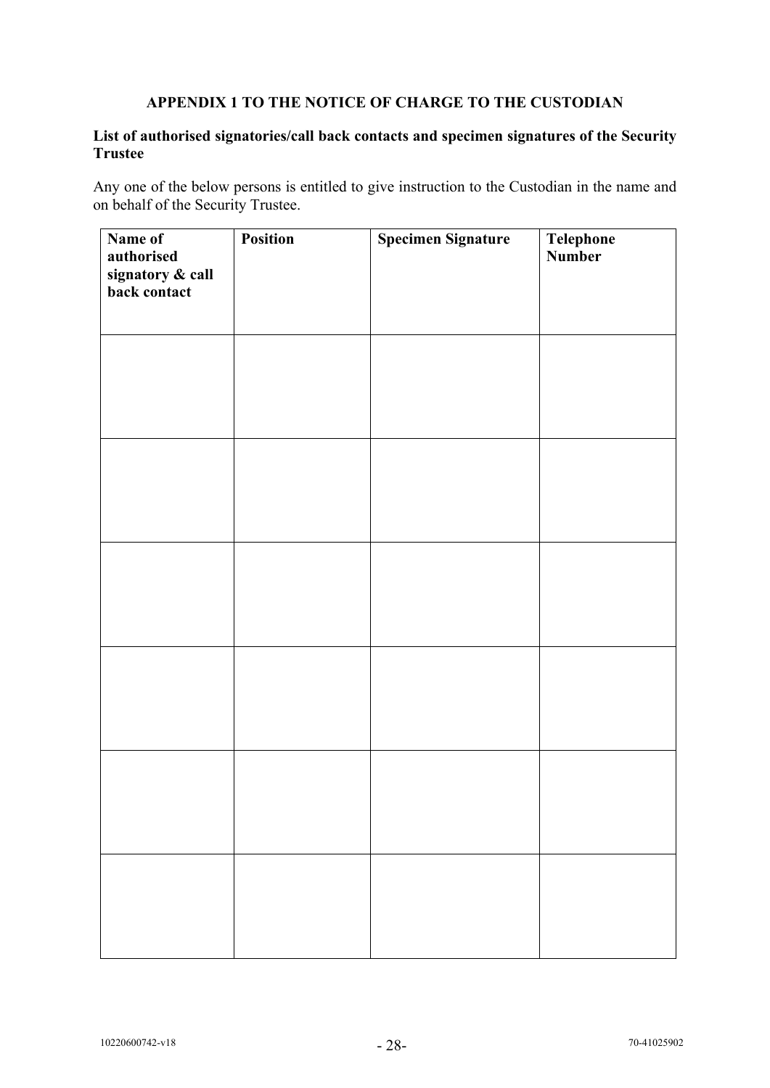## **APPENDIX 1 TO THE NOTICE OF CHARGE TO THE CUSTODIAN**

## **List of authorised signatories/call back contacts and specimen signatures of the Security Trustee**

Any one of the below persons is entitled to give instruction to the Custodian in the name and on behalf of the Security Trustee.

| Name of<br>authorised<br>signatory & call<br>back contact | <b>Position</b> | <b>Specimen Signature</b> | Telephone<br>Number |
|-----------------------------------------------------------|-----------------|---------------------------|---------------------|
|                                                           |                 |                           |                     |
|                                                           |                 |                           |                     |
|                                                           |                 |                           |                     |
|                                                           |                 |                           |                     |
|                                                           |                 |                           |                     |
|                                                           |                 |                           |                     |
|                                                           |                 |                           |                     |
|                                                           |                 |                           |                     |
|                                                           |                 |                           |                     |
|                                                           |                 |                           |                     |
|                                                           |                 |                           |                     |
|                                                           |                 |                           |                     |
|                                                           |                 |                           |                     |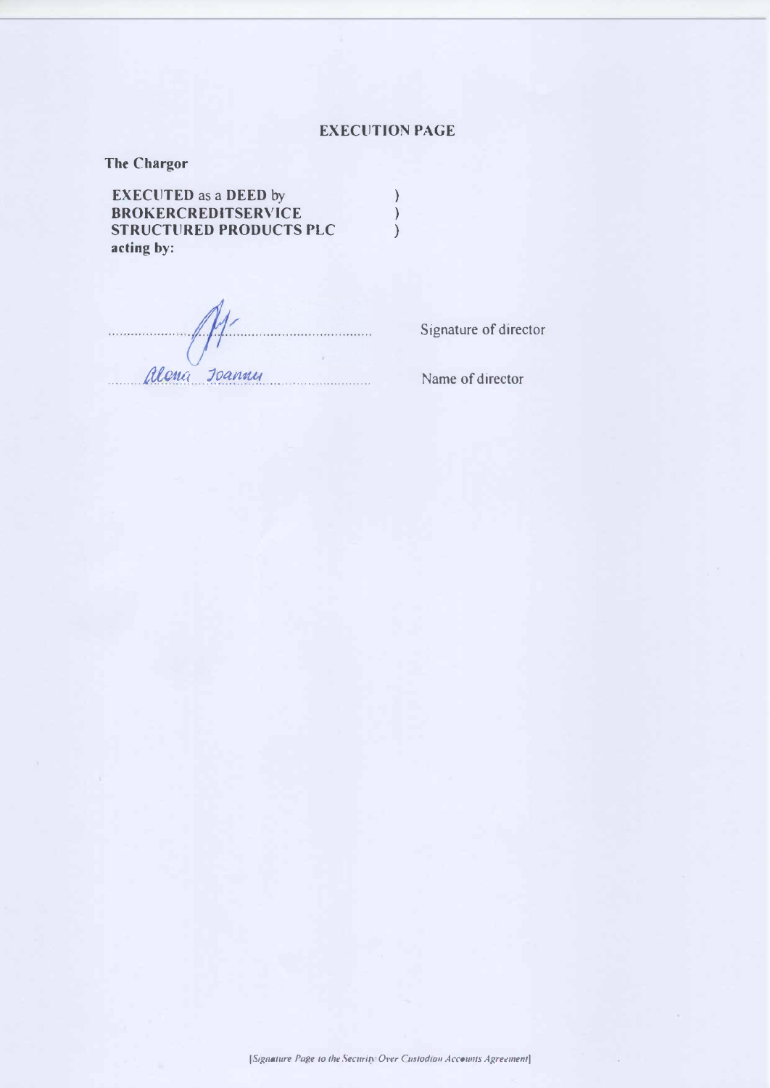# **EXECUTION PAGE**

**The Chargor** 

**EXECUTED** as a **DEED** by ) **BROKERCREDITSERVICE ) STRUCTURED PRODUCTS PLC acting by:** 

Alena Joannu

Signature of director

Name of director

*IS1gnature Page to the Security Over Custodian Accounts Agreement]*